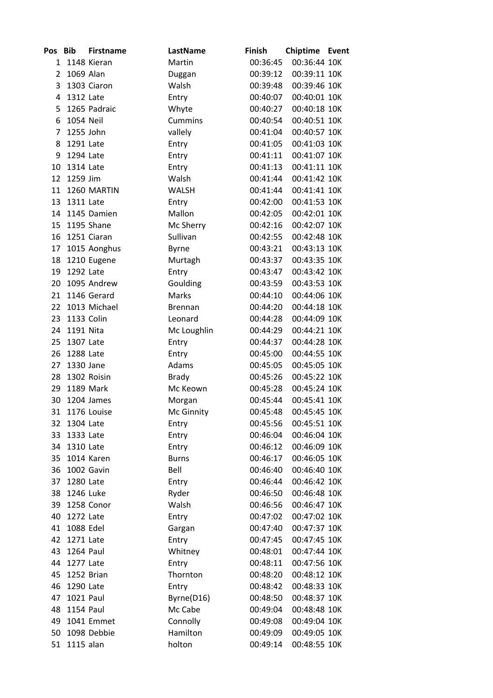| <b>Pos</b>     | Bib              | <b>Firstname</b> | LastName       | <b>Finish</b> | Chiptime Event |  |
|----------------|------------------|------------------|----------------|---------------|----------------|--|
| $\mathbf{1}$   |                  | 1148 Kieran      | Martin         | 00:36:45      | 00:36:44 10K   |  |
| $\overline{2}$ | 1069 Alan        |                  | Duggan         | 00:39:12      | 00:39:11 10K   |  |
| 3              |                  | 1303 Ciaron      | Walsh          | 00:39:48      | 00:39:46 10K   |  |
| 4              | 1312 Late        |                  | Entry          | 00:40:07      | 00:40:01 10K   |  |
| 5              |                  | 1265 Padraic     | Whyte          | 00:40:27      | 00:40:18 10K   |  |
| 6              | 1054 Neil        |                  | <b>Cummins</b> | 00:40:54      | 00:40:51 10K   |  |
| $\overline{7}$ | 1255 John        |                  | vallely        | 00:41:04      | 00:40:57 10K   |  |
| 8              | 1291 Late        |                  | Entry          | 00:41:05      | 00:41:03 10K   |  |
| 9              | 1294 Late        |                  | Entry          | 00:41:11      | 00:41:07 10K   |  |
| 10             | 1314 Late        |                  | Entry          | 00:41:13      | 00:41:11 10K   |  |
| 12             | 1259 Jim         |                  | Walsh          | 00:41:44      | 00:41:42 10K   |  |
| 11             |                  | 1260 MARTIN      | <b>WALSH</b>   | 00:41:44      | 00:41:41 10K   |  |
| 13             | 1311 Late        |                  | Entry          | 00:42:00      | 00:41:53 10K   |  |
| 14             |                  | 1145 Damien      | Mallon         | 00:42:05      | 00:42:01 10K   |  |
| 15             |                  | 1195 Shane       | Mc Sherry      | 00:42:16      | 00:42:07 10K   |  |
| 16             |                  | 1251 Ciaran      | Sullivan       | 00:42:55      | 00:42:48 10K   |  |
| 17             |                  | 1015 Aonghus     | <b>Byrne</b>   | 00:43:21      | 00:43:13 10K   |  |
| 18             |                  | 1210 Eugene      | Murtagh        | 00:43:37      | 00:43:35 10K   |  |
| 19             | 1292 Late        |                  | Entry          | 00:43:47      | 00:43:42 10K   |  |
| 20             |                  | 1095 Andrew      | Goulding       | 00:43:59      | 00:43:53 10K   |  |
| 21             |                  | 1146 Gerard      | Marks          | 00:44:10      | 00:44:06 10K   |  |
| 22             |                  | 1013 Michael     | <b>Brennan</b> | 00:44:20      | 00:44:18 10K   |  |
| 23             |                  | 1133 Colin       | Leonard        | 00:44:28      | 00:44:09 10K   |  |
| 24             | 1191 Nita        |                  | Mc Loughlin    | 00:44:29      | 00:44:21 10K   |  |
| 25             | 1307 Late        |                  | Entry          | 00:44:37      | 00:44:28 10K   |  |
| 26             | 1288 Late        |                  | Entry          | 00:45:00      | 00:44:55 10K   |  |
| 27             | 1330 Jane        |                  | Adams          | 00:45:05      | 00:45:05 10K   |  |
| 28             |                  | 1302 Roisin      | <b>Brady</b>   | 00:45:26      | 00:45:22 10K   |  |
| 29             |                  | 1189 Mark        | Mc Keown       | 00:45:28      | 00:45:24 10K   |  |
| 30             |                  | 1204 James       | Morgan         | 00:45:44      | 00:45:41 10K   |  |
| 31             |                  | 1176 Louise      | Mc Ginnity     | 00:45:48      | 00:45:45 10K   |  |
| 32             | 1304 Late        |                  | Entry          | 00:45:56      | 00:45:51 10K   |  |
| 33             | 1333 Late        |                  | Entry          | 00:46:04      | 00:46:04 10K   |  |
| 34             | 1310 Late        |                  | Entry          | 00:46:12      | 00:46:09 10K   |  |
| 35             |                  | 1014 Karen       | <b>Burns</b>   | 00:46:17      | 00:46:05 10K   |  |
| 36             |                  | 1002 Gavin       | Bell           | 00:46:40      | 00:46:40 10K   |  |
| 37             | 1280 Late        |                  | Entry          | 00:46:44      | 00:46:42 10K   |  |
| 38             | 1246 Luke        |                  | Ryder          | 00:46:50      | 00:46:48 10K   |  |
| 39             |                  | 1258 Conor       | Walsh          | 00:46:56      | 00:46:47 10K   |  |
| 40             | 1272 Late        |                  | Entry          | 00:47:02      | 00:47:02 10K   |  |
| 41             | 1088 Edel        |                  | Gargan         | 00:47:40      | 00:47:37 10K   |  |
| 42             | 1271 Late        |                  | Entry          | 00:47:45      | 00:47:45 10K   |  |
| 43             | 1264 Paul        |                  | Whitney        | 00:48:01      | 00:47:44 10K   |  |
| 44             | 1277 Late        |                  | Entry          | 00:48:11      | 00:47:56 10K   |  |
| 45             |                  | 1252 Brian       | Thornton       | 00:48:20      | 00:48:12 10K   |  |
| 46             | 1290 Late        |                  | Entry          | 00:48:42      | 00:48:33 10K   |  |
| 47             | <b>1021 Paul</b> |                  | Byrne(D16)     | 00:48:50      | 00:48:37 10K   |  |
| 48             | <b>1154 Paul</b> |                  | Mc Cabe        | 00:49:04      | 00:48:48 10K   |  |
| 49             |                  | 1041 Emmet       | Connolly       | 00:49:08      | 00:49:04 10K   |  |
| 50             |                  | 1098 Debbie      | Hamilton       | 00:49:09      | 00:49:05 10K   |  |
| 51             | 1115 alan        |                  | holton         | 00:49:14      | 00:48:55 10K   |  |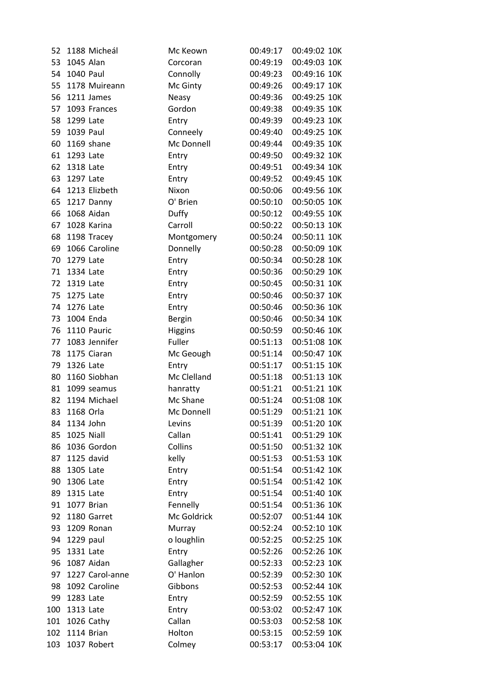| 52  | 1188 Micheál    | Mc Keown       | 00:49:17 | 00:49:02 10K |
|-----|-----------------|----------------|----------|--------------|
| 53  | 1045 Alan       | Corcoran       | 00:49:19 | 00:49:03 10K |
| 54  | 1040 Paul       | Connolly       | 00:49:23 | 00:49:16 10K |
| 55  | 1178 Muireann   | Mc Ginty       | 00:49:26 | 00:49:17 10K |
| 56  | 1211 James      | <b>Neasy</b>   | 00:49:36 | 00:49:25 10K |
| 57  | 1093 Frances    | Gordon         | 00:49:38 | 00:49:35 10K |
| 58  | 1299 Late       | Entry          | 00:49:39 | 00:49:23 10K |
| 59  | 1039 Paul       | Conneely       | 00:49:40 | 00:49:25 10K |
| 60  | 1169 shane      | Mc Donnell     | 00:49:44 | 00:49:35 10K |
| 61  | 1293 Late       | Entry          | 00:49:50 | 00:49:32 10K |
| 62  | 1318 Late       | Entry          | 00:49:51 | 00:49:34 10K |
| 63  | 1297 Late       | Entry          | 00:49:52 | 00:49:45 10K |
| 64  | 1213 Elizbeth   | Nixon          | 00:50:06 | 00:49:56 10K |
| 65  | 1217 Danny      | O' Brien       | 00:50:10 | 00:50:05 10K |
| 66  | 1068 Aidan      | Duffy          | 00:50:12 | 00:49:55 10K |
| 67  | 1028 Karina     | Carroll        | 00:50:22 | 00:50:13 10K |
| 68  | 1198 Tracey     | Montgomery     | 00:50:24 | 00:50:11 10K |
| 69  | 1066 Caroline   | Donnelly       | 00:50:28 | 00:50:09 10K |
| 70  | 1279 Late       | Entry          | 00:50:34 | 00:50:28 10K |
| 71  | 1334 Late       | Entry          | 00:50:36 | 00:50:29 10K |
| 72  | 1319 Late       | Entry          | 00:50:45 | 00:50:31 10K |
| 75  | 1275 Late       | Entry          | 00:50:46 | 00:50:37 10K |
| 74  | 1276 Late       | Entry          | 00:50:46 | 00:50:36 10K |
| 73  | 1004 Enda       | <b>Bergin</b>  | 00:50:46 | 00:50:34 10K |
| 76  | 1110 Pauric     | <b>Higgins</b> | 00:50:59 | 00:50:46 10K |
| 77  | 1083 Jennifer   | Fuller         | 00:51:13 | 00:51:08 10K |
| 78  | 1175 Ciaran     | Mc Geough      | 00:51:14 | 00:50:47 10K |
| 79  | 1326 Late       | Entry          | 00:51:17 | 00:51:15 10K |
| 80  | 1160 Siobhan    | Mc Clelland    | 00:51:18 | 00:51:13 10K |
| 81  | 1099 seamus     | hanratty       | 00:51:21 | 00:51:21 10K |
| 82  | 1194 Michael    | Mc Shane       | 00:51:24 | 00:51:08 10K |
| 83  | 1168 Orla       | Mc Donnell     | 00:51:29 | 00:51:21 10K |
| 84  | 1134 John       | Levins         | 00:51:39 | 00:51:20 10K |
| 85  | 1025 Niall      | Callan         | 00:51:41 | 00:51:29 10K |
| 86  | 1036 Gordon     | Collins        | 00:51:50 | 00:51:32 10K |
| 87  | 1125 david      | kelly          | 00:51:53 | 00:51:53 10K |
| 88  | 1305 Late       | Entry          | 00:51:54 | 00:51:42 10K |
| 90  | 1306 Late       | Entry          | 00:51:54 | 00:51:42 10K |
| 89  | 1315 Late       | Entry          | 00:51:54 | 00:51:40 10K |
| 91  | 1077 Brian      | Fennelly       | 00:51:54 | 00:51:36 10K |
| 92  | 1180 Garret     | Mc Goldrick    | 00:52:07 | 00:51:44 10K |
| 93  | 1209 Ronan      | Murray         | 00:52:24 | 00:52:10 10K |
| 94  | 1229 paul       | o loughlin     | 00:52:25 | 00:52:25 10K |
| 95  | 1331 Late       | Entry          | 00:52:26 | 00:52:26 10K |
| 96  | 1087 Aidan      | Gallagher      | 00:52:33 | 00:52:23 10K |
| 97  | 1227 Carol-anne | O' Hanlon      | 00:52:39 | 00:52:30 10K |
| 98  | 1092 Caroline   | Gibbons        | 00:52:53 | 00:52:44 10K |
| 99  | 1283 Late       | Entry          | 00:52:59 | 00:52:55 10K |
| 100 | 1313 Late       | Entry          | 00:53:02 | 00:52:47 10K |
| 101 | 1026 Cathy      | Callan         | 00:53:03 | 00:52:58 10K |
| 102 | 1114 Brian      | Holton         | 00:53:15 | 00:52:59 10K |
| 103 | 1037 Robert     | Colmey         | 00:53:17 | 00:53:04 10K |
|     |                 |                |          |              |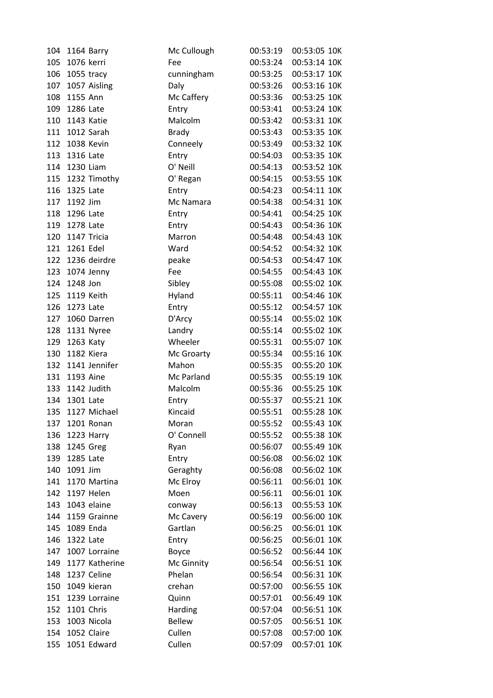| 104 | 1164 Barry     | Mc Cullough      | 00:53:19             | 00:53:05 10K |
|-----|----------------|------------------|----------------------|--------------|
| 105 | 1076 kerri     | Fee              | 00:53:24             | 00:53:14 10K |
| 106 | 1055 tracy     | cunningham       | 00:53:25             | 00:53:17 10K |
| 107 | 1057 Aisling   | Daly             | 00:53:26             | 00:53:16 10K |
| 108 | 1155 Ann       | Mc Caffery       | 00:53:36             | 00:53:25 10K |
| 109 | 1286 Late      | Entry            | 00:53:41             | 00:53:24 10K |
| 110 | 1143 Katie     | Malcolm          | 00:53:42             | 00:53:31 10K |
| 111 | 1012 Sarah     | <b>Brady</b>     | 00:53:43             | 00:53:35 10K |
| 112 | 1038 Kevin     | Conneely         | 00:53:49             | 00:53:32 10K |
| 113 | 1316 Late      | Entry            | 00:54:03             | 00:53:35 10K |
| 114 | 1230 Liam      | O' Neill         | 00:54:13             | 00:53:52 10K |
| 115 | 1232 Timothy   | O' Regan         | 00:54:15             | 00:53:55 10K |
| 116 | 1325 Late      | Entry            | 00:54:23             | 00:54:11 10K |
| 117 | 1192 Jim       | Mc Namara        | 00:54:38             | 00:54:31 10K |
| 118 | 1296 Late      | Entry            | 00:54:41             | 00:54:25 10K |
| 119 | 1278 Late      | Entry            | 00:54:43             | 00:54:36 10K |
| 120 | 1147 Tricia    | Marron           | 00:54:48             | 00:54:43 10K |
| 121 | 1261 Edel      | Ward             | 00:54:52             | 00:54:32 10K |
| 122 | 1236 deirdre   | peake            | 00:54:53             | 00:54:47 10K |
| 123 | 1074 Jenny     | Fee              | 00:54:55             | 00:54:43 10K |
| 124 | 1248 Jon       | Sibley           | 00:55:08             | 00:55:02 10K |
| 125 | 1119 Keith     | Hyland           | 00:55:11             | 00:54:46 10K |
| 126 | 1273 Late      | Entry            | 00:55:12             | 00:54:57 10K |
| 127 | 1060 Darren    | D'Arcy           | 00:55:14             | 00:55:02 10K |
| 128 | 1131 Nyree     | Landry           | 00:55:14             | 00:55:02 10K |
| 129 | 1263 Katy      | Wheeler          | 00:55:31             | 00:55:07 10K |
| 130 | 1182 Kiera     | Mc Groarty       | 00:55:34             | 00:55:16 10K |
| 132 | 1141 Jennifer  | Mahon            | 00:55:35             | 00:55:20 10K |
| 131 | 1193 Aine      | Mc Parland       | 00:55:35             | 00:55:19 10K |
| 133 | 1142 Judith    | Malcolm          | 00:55:36             | 00:55:25 10K |
| 134 | 1301 Late      |                  |                      | 00:55:21 10K |
|     | 1127 Michael   | Entry<br>Kincaid | 00:55:37<br>00:55:51 | 00:55:28 10K |
| 135 |                |                  |                      |              |
| 137 | 1201 Ronan     | Moran            | 00:55:52             | 00:55:43 10K |
| 136 | 1223 Harry     | O' Connell       | 00:55:52             | 00:55:38 10K |
| 138 | 1245 Greg      | Ryan             | 00:56:07             | 00:55:49 10K |
| 139 | 1285 Late      | Entry            | 00:56:08             | 00:56:02 10K |
| 140 | 1091 Jim       | Geraghty         | 00:56:08             | 00:56:02 10K |
| 141 | 1170 Martina   | Mc Elroy         | 00:56:11             | 00:56:01 10K |
| 142 | 1197 Helen     | Moen             | 00:56:11             | 00:56:01 10K |
| 143 | 1043 elaine    | conway           | 00:56:13             | 00:55:53 10K |
| 144 | 1159 Grainne   | Mc Cavery        | 00:56:19             | 00:56:00 10K |
| 145 | 1089 Enda      | Gartlan          | 00:56:25             | 00:56:01 10K |
| 146 | 1322 Late      | Entry            | 00:56:25             | 00:56:01 10K |
| 147 | 1007 Lorraine  | Boyce            | 00:56:52             | 00:56:44 10K |
| 149 | 1177 Katherine | Mc Ginnity       | 00:56:54             | 00:56:51 10K |
| 148 | 1237 Celine    | Phelan           | 00:56:54             | 00:56:31 10K |
| 150 | 1049 kieran    | crehan           | 00:57:00             | 00:56:55 10K |
| 151 | 1239 Lorraine  | Quinn            | 00:57:01             | 00:56:49 10K |
| 152 | 1101 Chris     | Harding          | 00:57:04             | 00:56:51 10K |
| 153 | 1003 Nicola    | <b>Bellew</b>    | 00:57:05             | 00:56:51 10K |
| 154 | 1052 Claire    | Cullen           | 00:57:08             | 00:57:00 10K |
| 155 | 1051 Edward    | Cullen           | 00:57:09             | 00:57:01 10K |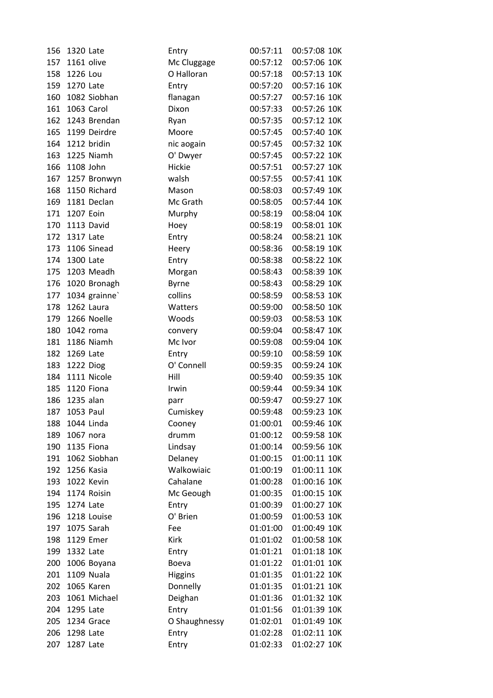| 156 | 1320 Late         | Entry          | 00:57:11 | 00:57:08 10K |
|-----|-------------------|----------------|----------|--------------|
| 157 | 1161 olive        | Mc Cluggage    | 00:57:12 | 00:57:06 10K |
| 158 | 1226 Lou          | O Halloran     | 00:57:18 | 00:57:13 10K |
| 159 | 1270 Late         | Entry          | 00:57:20 | 00:57:16 10K |
| 160 | 1082 Siobhan      | flanagan       | 00:57:27 | 00:57:16 10K |
| 161 | 1063 Carol        | Dixon          | 00:57:33 | 00:57:26 10K |
| 162 | 1243 Brendan      | Ryan           | 00:57:35 | 00:57:12 10K |
| 165 | 1199 Deirdre      | Moore          | 00:57:45 | 00:57:40 10K |
| 164 | 1212 bridin       | nic aogain     | 00:57:45 | 00:57:32 10K |
| 163 | 1225 Niamh        | O' Dwyer       | 00:57:45 | 00:57:22 10K |
| 166 | 1108 John         | Hickie         | 00:57:51 | 00:57:27 10K |
| 167 | 1257 Bronwyn      | walsh          | 00:57:55 | 00:57:41 10K |
| 168 | 1150 Richard      | Mason          | 00:58:03 | 00:57:49 10K |
| 169 | 1181 Declan       | Mc Grath       | 00:58:05 | 00:57:44 10K |
| 171 | 1207 Eoin         | Murphy         | 00:58:19 | 00:58:04 10K |
| 170 | 1113 David        | Hoey           | 00:58:19 | 00:58:01 10K |
| 172 | 1317 Late         | Entry          | 00:58:24 | 00:58:21 10K |
| 173 | 1106 Sinead       | Heery          | 00:58:36 | 00:58:19 10K |
| 174 | 1300 Late         | Entry          | 00:58:38 | 00:58:22 10K |
| 175 | 1203 Meadh        | Morgan         | 00:58:43 | 00:58:39 10K |
| 176 | 1020 Bronagh      | <b>Byrne</b>   | 00:58:43 | 00:58:29 10K |
| 177 | 1034 grainne`     | collins        | 00:58:59 | 00:58:53 10K |
| 178 | 1262 Laura        | Watters        | 00:59:00 | 00:58:50 10K |
| 179 | 1266 Noelle       | Woods          | 00:59:03 | 00:58:53 10K |
| 180 | 1042 roma         | convery        | 00:59:04 | 00:58:47 10K |
| 181 | 1186 Niamh        | Mc Ivor        | 00:59:08 | 00:59:04 10K |
| 182 | 1269 Late         | Entry          | 00:59:10 | 00:58:59 10K |
| 183 | 1222 Diog         | O' Connell     | 00:59:35 | 00:59:24 10K |
| 184 | 1111 Nicole       | Hill           | 00:59:40 | 00:59:35 10K |
| 185 | 1120 Fiona        | Irwin          | 00:59:44 | 00:59:34 10K |
| 186 | 1235 alan         | parr           | 00:59:47 | 00:59:27 10K |
| 187 | 1053 Paul         | Cumiskey       | 00:59:48 | 00:59:23 10K |
| 188 | 1044 Linda        | Cooney         | 01:00:01 | 00:59:46 10K |
| 189 | 1067 nora         | drumm          | 01:00:12 | 00:59:58 10K |
| 190 | 1135 Fiona        | Lindsay        | 01:00:14 | 00:59:56 10K |
| 191 | 1062 Siobhan      | Delaney        | 01:00:15 | 01:00:11 10K |
| 192 | 1256 Kasia        | Walkowiaic     | 01:00:19 | 01:00:11 10K |
| 193 | 1022 Kevin        | Cahalane       | 01:00:28 | 01:00:16 10K |
| 194 | 1174 Roisin       | Mc Geough      | 01:00:35 | 01:00:15 10K |
| 195 | 1274 Late         | Entry          | 01:00:39 | 01:00:27 10K |
| 196 | 1218 Louise       | O' Brien       | 01:00:59 | 01:00:53 10K |
| 197 | 1075 Sarah        | Fee            | 01:01:00 | 01:00:49 10K |
|     |                   |                | 01:01:02 | 01:00:58 10K |
| 198 | 1129 Emer         | Kirk           |          |              |
| 199 | 1332 Late         | Entry          | 01:01:21 | 01:01:18 10K |
| 200 | 1006 Boyana       | Boeva          | 01:01:22 | 01:01:01 10K |
| 201 | <b>1109 Nuala</b> | <b>Higgins</b> | 01:01:35 | 01:01:22 10K |
| 202 | 1065 Karen        | Donnelly       | 01:01:35 | 01:01:21 10K |
| 203 | 1061 Michael      | Deighan        | 01:01:36 | 01:01:32 10K |
| 204 | 1295 Late         | Entry          | 01:01:56 | 01:01:39 10K |
| 205 | 1234 Grace        | O Shaughnessy  | 01:02:01 | 01:01:49 10K |
| 206 | 1298 Late         | Entry          | 01:02:28 | 01:02:11 10K |
| 207 | 1287 Late         | Entry          | 01:02:33 | 01:02:27 10K |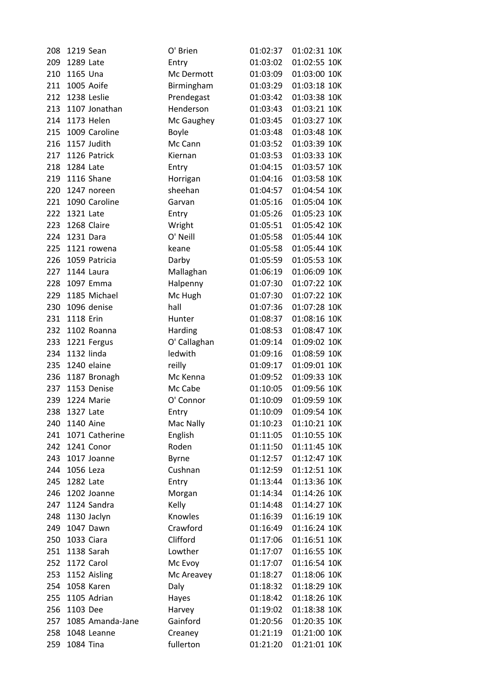| 208 | 1219 Sean        | O' Brien     | 01:02:37 | 01:02:31 10K |
|-----|------------------|--------------|----------|--------------|
| 209 | 1289 Late        | Entry        | 01:03:02 | 01:02:55 10K |
| 210 | 1165 Una         | Mc Dermott   | 01:03:09 | 01:03:00 10K |
| 211 | 1005 Aoife       | Birmingham   | 01:03:29 | 01:03:18 10K |
| 212 | 1238 Leslie      | Prendegast   | 01:03:42 | 01:03:38 10K |
| 213 | 1107 Jonathan    | Henderson    | 01:03:43 | 01:03:21 10K |
| 214 | 1173 Helen       | Mc Gaughey   | 01:03:45 | 01:03:27 10K |
| 215 | 1009 Caroline    | <b>Boyle</b> | 01:03:48 | 01:03:48 10K |
| 216 | 1157 Judith      | Mc Cann      | 01:03:52 | 01:03:39 10K |
| 217 | 1126 Patrick     | Kiernan      | 01:03:53 | 01:03:33 10K |
| 218 | 1284 Late        | Entry        | 01:04:15 | 01:03:57 10K |
| 219 | 1116 Shane       | Horrigan     | 01:04:16 | 01:03:58 10K |
| 220 | 1247 noreen      | sheehan      | 01:04:57 | 01:04:54 10K |
| 221 | 1090 Caroline    | Garvan       | 01:05:16 | 01:05:04 10K |
| 222 | 1321 Late        | Entry        | 01:05:26 | 01:05:23 10K |
| 223 | 1268 Claire      | Wright       | 01:05:51 | 01:05:42 10K |
| 224 | 1231 Dara        | O' Neill     | 01:05:58 | 01:05:44 10K |
| 225 | 1121 rowena      | keane        | 01:05:58 | 01:05:44 10K |
| 226 | 1059 Patricia    | Darby        | 01:05:59 | 01:05:53 10K |
| 227 | 1144 Laura       | Mallaghan    | 01:06:19 | 01:06:09 10K |
| 228 | 1097 Emma        | Halpenny     | 01:07:30 | 01:07:22 10K |
| 229 | 1185 Michael     | Mc Hugh      | 01:07:30 | 01:07:22 10K |
| 230 | 1096 denise      | hall         | 01:07:36 | 01:07:28 10K |
| 231 | 1118 Erin        | Hunter       | 01:08:37 | 01:08:16 10K |
| 232 | 1102 Roanna      | Harding      | 01:08:53 | 01:08:47 10K |
| 233 | 1221 Fergus      | O' Callaghan | 01:09:14 | 01:09:02 10K |
| 234 | 1132 linda       | ledwith      | 01:09:16 | 01:08:59 10K |
| 235 | 1240 elaine      | reilly       | 01:09:17 | 01:09:01 10K |
| 236 | 1187 Bronagh     | Mc Kenna     | 01:09:52 | 01:09:33 10K |
| 237 | 1153 Denise      | Mc Cabe      | 01:10:05 | 01:09:56 10K |
| 239 | 1224 Marie       | O' Connor    | 01:10:09 | 01:09:59 10K |
| 238 | 1327 Late        | Entry        | 01:10:09 | 01:09:54 10K |
| 240 | <b>1140 Aine</b> | Mac Nally    | 01:10:23 | 01:10:21 10K |
| 241 | 1071 Catherine   | English      | 01:11:05 | 01:10:55 10K |
| 242 | 1241 Conor       | Roden        | 01:11:50 | 01:11:45 10K |
| 243 | 1017 Joanne      | Byrne        | 01:12:57 | 01:12:47 10K |
| 244 | 1056 Leza        | Cushnan      | 01:12:59 | 01:12:51 10K |
| 245 | 1282 Late        | Entry        | 01:13:44 | 01:13:36 10K |
| 246 | 1202 Joanne      | Morgan       | 01:14:34 | 01:14:26 10K |
| 247 | 1124 Sandra      | Kelly        | 01:14:48 | 01:14:27 10K |
| 248 | 1130 Jaclyn      | Knowles      | 01:16:39 | 01:16:19 10K |
| 249 | 1047 Dawn        | Crawford     | 01:16:49 | 01:16:24 10K |
|     |                  |              |          |              |
| 250 | 1033 Ciara       | Clifford     | 01:17:06 | 01:16:51 10K |
| 251 | 1138 Sarah       | Lowther      | 01:17:07 | 01:16:55 10K |
| 252 | 1172 Carol       | Mc Evoy      | 01:17:07 | 01:16:54 10K |
| 253 | 1152 Aisling     | Mc Areavey   | 01:18:27 | 01:18:06 10K |
| 254 | 1058 Karen       | Daly         | 01:18:32 | 01:18:29 10K |
| 255 | 1105 Adrian      | Hayes        | 01:18:42 | 01:18:26 10K |
| 256 | 1103 Dee         | Harvey       | 01:19:02 | 01:18:38 10K |
| 257 | 1085 Amanda-Jane | Gainford     | 01:20:56 | 01:20:35 10K |
| 258 | 1048 Leanne      | Creaney      | 01:21:19 | 01:21:00 10K |
| 259 | 1084 Tina        | fullerton    | 01:21:20 | 01:21:01 10K |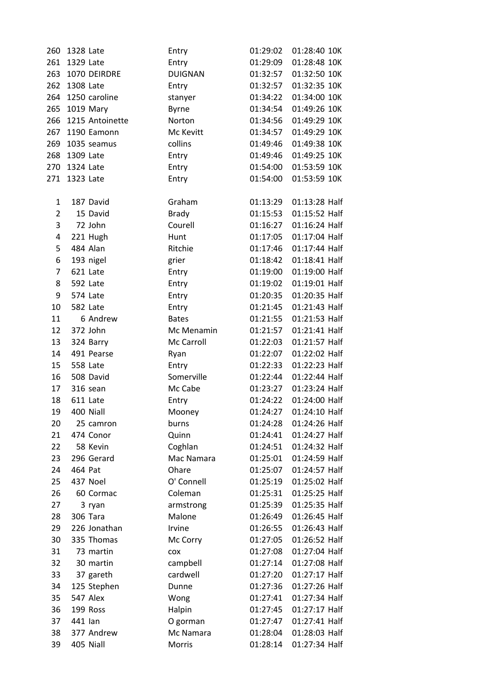| 260            | 1328 Late |                 | Entry          | 01:29:02 | 01:28:40 10K  |  |
|----------------|-----------|-----------------|----------------|----------|---------------|--|
| 261            | 1329 Late |                 | Entry          | 01:29:09 | 01:28:48 10K  |  |
| 263            |           | 1070 DEIRDRE    | <b>DUIGNAN</b> | 01:32:57 | 01:32:50 10K  |  |
| 262            | 1308 Late |                 | Entry          | 01:32:57 | 01:32:35 10K  |  |
| 264            |           | 1250 caroline   | stanyer        | 01:34:22 | 01:34:00 10K  |  |
| 265            |           | 1019 Mary       | Byrne          | 01:34:54 | 01:49:26 10K  |  |
| 266            |           | 1215 Antoinette | Norton         | 01:34:56 | 01:49:29 10K  |  |
| 267            |           | 1190 Eamonn     | Mc Kevitt      | 01:34:57 | 01:49:29 10K  |  |
| 269            |           | 1035 seamus     | collins        | 01:49:46 | 01:49:38 10K  |  |
| 268            | 1309 Late |                 | Entry          | 01:49:46 | 01:49:25 10K  |  |
| 270            | 1324 Late |                 | Entry          | 01:54:00 | 01:53:59 10K  |  |
| 271            | 1323 Late |                 | Entry          | 01:54:00 | 01:53:59 10K  |  |
|                |           |                 |                |          |               |  |
| 1              |           | 187 David       | Graham         | 01:13:29 | 01:13:28 Half |  |
| $\overline{2}$ |           | 15 David        | <b>Brady</b>   | 01:15:53 | 01:15:52 Half |  |
| 3              |           | 72 John         | Courell        | 01:16:27 | 01:16:24 Half |  |
| 4              |           | 221 Hugh        | Hunt           | 01:17:05 | 01:17:04 Half |  |
| 5              |           | 484 Alan        | Ritchie        | 01:17:46 | 01:17:44 Half |  |
| 6              |           | 193 nigel       | grier          | 01:18:42 | 01:18:41 Half |  |
| 7              |           | 621 Late        | Entry          | 01:19:00 | 01:19:00 Half |  |
| 8              |           | 592 Late        | Entry          | 01:19:02 | 01:19:01 Half |  |
| 9              |           | 574 Late        | Entry          | 01:20:35 | 01:20:35 Half |  |
| 10             |           | 582 Late        | Entry          | 01:21:45 | 01:21:43 Half |  |
| 11             |           | 6 Andrew        | <b>Bates</b>   | 01:21:55 | 01:21:53 Half |  |
| 12             |           | 372 John        | Mc Menamin     | 01:21:57 | 01:21:41 Half |  |
| 13             |           | 324 Barry       | Mc Carroll     | 01:22:03 | 01:21:57 Half |  |
| 14             |           | 491 Pearse      | Ryan           | 01:22:07 | 01:22:02 Half |  |
| 15             |           | 558 Late        | Entry          | 01:22:33 | 01:22:23 Half |  |
| 16             |           | 508 David       | Somerville     | 01:22:44 | 01:22:44 Half |  |
| 17             |           | 316 sean        | Mc Cabe        | 01:23:27 | 01:23:24 Half |  |
| 18             |           | 611 Late        | Entry          | 01:24:22 | 01:24:00 Half |  |
| 19             |           | 400 Niall       | Mooney         | 01:24:27 | 01:24:10 Half |  |
| 20             |           | 25 camron       | burns          | 01:24:28 | 01:24:26 Half |  |
| 21             |           | 474 Conor       | Quinn          | 01:24:41 | 01:24:27 Half |  |
| 22             |           | 58 Kevin        | Coghlan        | 01:24:51 | 01:24:32 Half |  |
| 23             |           | 296 Gerard      | Mac Namara     | 01:25:01 | 01:24:59 Half |  |
| 24             | 464 Pat   |                 | Ohare          | 01:25:07 | 01:24:57 Half |  |
| 25             |           | 437 Noel        | O' Connell     | 01:25:19 | 01:25:02 Half |  |
| 26             |           | 60 Cormac       | Coleman        | 01:25:31 | 01:25:25 Half |  |
| 27             |           | 3 ryan          | armstrong      | 01:25:39 | 01:25:35 Half |  |
| 28             |           | 306 Tara        | Malone         | 01:26:49 | 01:26:45 Half |  |
| 29             |           | 226 Jonathan    | Irvine         | 01:26:55 | 01:26:43 Half |  |
| 30             |           | 335 Thomas      | Mc Corry       | 01:27:05 | 01:26:52 Half |  |
| 31             |           | 73 martin       | COX            | 01:27:08 | 01:27:04 Half |  |
| 32             |           | 30 martin       | campbell       | 01:27:14 | 01:27:08 Half |  |
| 33             |           | 37 gareth       | cardwell       | 01:27:20 | 01:27:17 Half |  |
| 34             |           | 125 Stephen     | Dunne          | 01:27:36 | 01:27:26 Half |  |
| 35             |           | 547 Alex        | Wong           | 01:27:41 | 01:27:34 Half |  |
| 36             |           | 199 Ross        | Halpin         | 01:27:45 | 01:27:17 Half |  |
| 37             | 441 lan   |                 | O gorman       | 01:27:47 | 01:27:41 Half |  |
| 38             |           | 377 Andrew      | Mc Namara      | 01:28:04 | 01:28:03 Half |  |
| 39             |           | 405 Niall       | Morris         | 01:28:14 | 01:27:34 Half |  |
|                |           |                 |                |          |               |  |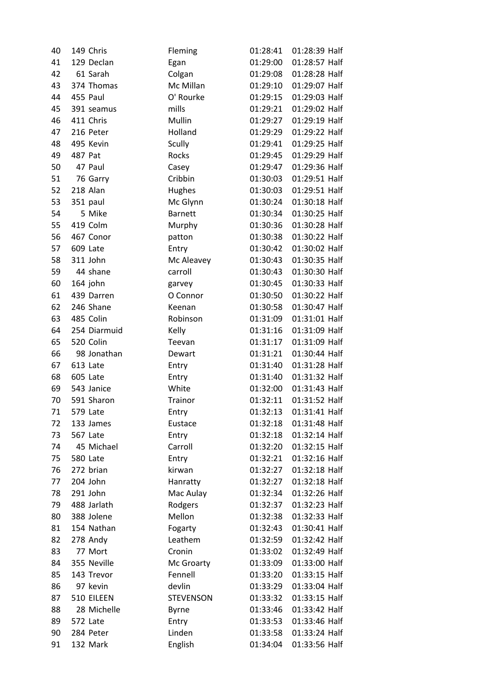| 40 |         | 149 Chris    | Fleming          | 01:28:41 | 01:28:39 Half |
|----|---------|--------------|------------------|----------|---------------|
| 41 |         | 129 Declan   | Egan             | 01:29:00 | 01:28:57 Half |
| 42 |         | 61 Sarah     | Colgan           | 01:29:08 | 01:28:28 Half |
| 43 |         | 374 Thomas   | Mc Millan        | 01:29:10 | 01:29:07 Half |
| 44 |         | 455 Paul     | O' Rourke        | 01:29:15 | 01:29:03 Half |
| 45 |         | 391 seamus   | mills            | 01:29:21 | 01:29:02 Half |
| 46 |         | 411 Chris    | Mullin           | 01:29:27 | 01:29:19 Half |
| 47 |         | 216 Peter    | Holland          | 01:29:29 | 01:29:22 Half |
| 48 |         | 495 Kevin    | Scully           | 01:29:41 | 01:29:25 Half |
| 49 | 487 Pat |              | Rocks            | 01:29:45 | 01:29:29 Half |
| 50 |         | 47 Paul      | Casey            | 01:29:47 | 01:29:36 Half |
| 51 |         | 76 Garry     | Cribbin          | 01:30:03 | 01:29:51 Half |
| 52 |         | 218 Alan     | Hughes           | 01:30:03 | 01:29:51 Half |
| 53 |         | 351 paul     | Mc Glynn         | 01:30:24 | 01:30:18 Half |
| 54 |         | 5 Mike       | <b>Barnett</b>   | 01:30:34 | 01:30:25 Half |
| 55 |         | 419 Colm     | Murphy           | 01:30:36 | 01:30:28 Half |
| 56 |         | 467 Conor    | patton           | 01:30:38 | 01:30:22 Half |
| 57 |         | 609 Late     | Entry            | 01:30:42 | 01:30:02 Half |
| 58 |         | 311 John     | Mc Aleavey       | 01:30:43 | 01:30:35 Half |
| 59 |         | 44 shane     | carroll          | 01:30:43 | 01:30:30 Half |
| 60 |         | 164 john     | garvey           | 01:30:45 | 01:30:33 Half |
| 61 |         | 439 Darren   | O Connor         | 01:30:50 | 01:30:22 Half |
| 62 |         | 246 Shane    | Keenan           | 01:30:58 | 01:30:47 Half |
| 63 |         | 485 Colin    | Robinson         | 01:31:09 | 01:31:01 Half |
| 64 |         | 254 Diarmuid | Kelly            | 01:31:16 | 01:31:09 Half |
| 65 |         | 520 Colin    | Teevan           | 01:31:17 | 01:31:09 Half |
| 66 |         | 98 Jonathan  | Dewart           | 01:31:21 | 01:30:44 Half |
| 67 |         | 613 Late     | Entry            | 01:31:40 | 01:31:28 Half |
| 68 |         | 605 Late     | Entry            | 01:31:40 | 01:31:32 Half |
| 69 |         | 543 Janice   | White            | 01:32:00 | 01:31:43 Half |
| 70 |         | 591 Sharon   | Trainor          | 01:32:11 | 01:31:52 Half |
| 71 |         | 579 Late     | Entry            | 01:32:13 | 01:31:41 Half |
| 72 |         | 133 James    | Eustace          | 01:32:18 | 01:31:48 Half |
| 73 |         | 567 Late     | Entry            | 01:32:18 | 01:32:14 Half |
| 74 |         | 45 Michael   | Carroll          | 01:32:20 | 01:32:15 Half |
| 75 |         | 580 Late     | Entry            | 01:32:21 | 01:32:16 Half |
| 76 |         | 272 brian    | kirwan           | 01:32:27 | 01:32:18 Half |
| 77 |         | 204 John     | Hanratty         | 01:32:27 | 01:32:18 Half |
| 78 |         | 291 John     | Mac Aulay        | 01:32:34 | 01:32:26 Half |
| 79 |         | 488 Jarlath  | Rodgers          | 01:32:37 | 01:32:23 Half |
| 80 |         | 388 Jolene   | Mellon           | 01:32:38 | 01:32:33 Half |
| 81 |         | 154 Nathan   | Fogarty          | 01:32:43 | 01:30:41 Half |
| 82 |         | 278 Andy     | Leathem          | 01:32:59 | 01:32:42 Half |
| 83 |         | 77 Mort      | Cronin           | 01:33:02 | 01:32:49 Half |
| 84 |         | 355 Neville  | Mc Groarty       | 01:33:09 | 01:33:00 Half |
| 85 |         | 143 Trevor   | Fennell          | 01:33:20 | 01:33:15 Half |
| 86 |         | 97 kevin     | devlin           | 01:33:29 | 01:33:04 Half |
| 87 |         | 510 EILEEN   | <b>STEVENSON</b> | 01:33:32 | 01:33:15 Half |
| 88 |         | 28 Michelle  | <b>Byrne</b>     | 01:33:46 | 01:33:42 Half |
| 89 |         | 572 Late     | Entry            | 01:33:53 | 01:33:46 Half |
| 90 |         | 284 Peter    | Linden           | 01:33:58 | 01:33:24 Half |
| 91 |         | 132 Mark     | English          | 01:34:04 | 01:33:56 Half |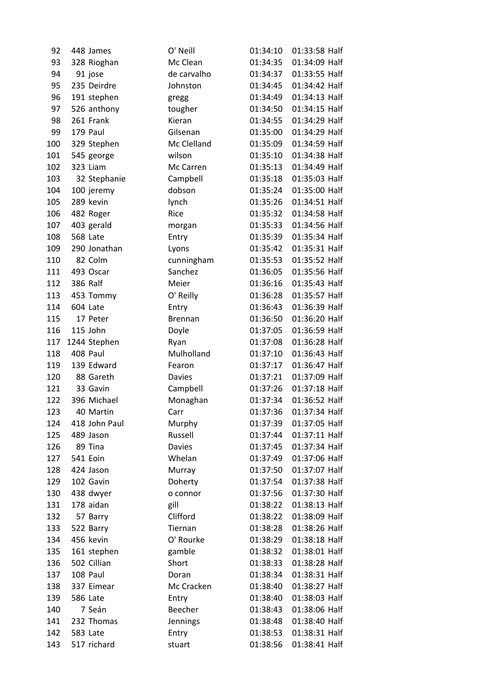| 92  |          | 448 James     | O' Neill       | 01:34:10 | 01:33:58 Half |  |
|-----|----------|---------------|----------------|----------|---------------|--|
| 93  |          | 328 Rioghan   | Mc Clean       | 01:34:35 | 01:34:09 Half |  |
| 94  |          | 91 jose       | de carvalho    | 01:34:37 | 01:33:55 Half |  |
| 95  |          | 235 Deirdre   | Johnston       | 01:34:45 | 01:34:42 Half |  |
| 96  |          | 191 stephen   | gregg          | 01:34:49 | 01:34:13 Half |  |
| 97  |          | 526 anthony   | tougher        | 01:34:50 | 01:34:15 Half |  |
| 98  |          | 261 Frank     | Kieran         | 01:34:55 | 01:34:29 Half |  |
| 99  |          | 179 Paul      | Gilsenan       | 01:35:00 | 01:34:29 Half |  |
| 100 |          | 329 Stephen   | Mc Clelland    | 01:35:09 | 01:34:59 Half |  |
| 101 |          | 545 george    | wilson         | 01:35:10 | 01:34:38 Half |  |
| 102 |          | 323 Liam      | Mc Carren      | 01:35:13 | 01:34:49 Half |  |
| 103 |          | 32 Stephanie  | Campbell       | 01:35:18 | 01:35:03 Half |  |
| 104 |          | 100 jeremy    | dobson         | 01:35:24 | 01:35:00 Half |  |
| 105 |          | 289 kevin     | lynch          | 01:35:26 | 01:34:51 Half |  |
| 106 |          | 482 Roger     | Rice           | 01:35:32 | 01:34:58 Half |  |
| 107 |          | 403 gerald    | morgan         | 01:35:33 | 01:34:56 Half |  |
| 108 |          | 568 Late      | Entry          | 01:35:39 | 01:35:34 Half |  |
| 109 |          | 290 Jonathan  | Lyons          | 01:35:42 | 01:35:31 Half |  |
| 110 |          | 82 Colm       | cunningham     | 01:35:53 | 01:35:52 Half |  |
| 111 |          | 493 Oscar     | Sanchez        | 01:36:05 | 01:35:56 Half |  |
| 112 | 386 Ralf |               | Meier          | 01:36:16 | 01:35:43 Half |  |
| 113 |          | 453 Tommy     | O' Reilly      | 01:36:28 | 01:35:57 Half |  |
| 114 |          | 604 Late      | Entry          | 01:36:43 | 01:36:39 Half |  |
| 115 |          | 17 Peter      | <b>Brennan</b> | 01:36:50 | 01:36:20 Half |  |
| 116 |          | 115 John      | Doyle          | 01:37:05 | 01:36:59 Half |  |
| 117 |          | 1244 Stephen  | Ryan           | 01:37:08 | 01:36:28 Half |  |
| 118 |          | 408 Paul      | Mulholland     | 01:37:10 | 01:36:43 Half |  |
| 119 |          | 139 Edward    | Fearon         | 01:37:17 | 01:36:47 Half |  |
| 120 |          | 88 Gareth     | <b>Davies</b>  | 01:37:21 | 01:37:09 Half |  |
| 121 |          | 33 Gavin      | Campbell       | 01:37:26 | 01:37:18 Half |  |
| 122 |          | 396 Michael   | Monaghan       | 01:37:34 | 01:36:52 Half |  |
| 123 |          | 40 Martin     | Carr           | 01:37:36 | 01:37:34 Half |  |
| 124 |          | 418 John Paul | Murphy         | 01:37:39 | 01:37:05 Half |  |
| 125 |          | 489 Jason     | Russell        | 01:37:44 | 01:37:11 Half |  |
| 126 |          | 89 Tina       | <b>Davies</b>  | 01:37:45 | 01:37:34 Half |  |
| 127 |          | 541 Eoin      | Whelan         | 01:37:49 | 01:37:06 Half |  |
| 128 |          | 424 Jason     | Murray         | 01:37:50 | 01:37:07 Half |  |
| 129 |          | 102 Gavin     | Doherty        | 01:37:54 | 01:37:38 Half |  |
| 130 |          | 438 dwyer     | o connor       | 01:37:56 | 01:37:30 Half |  |
| 131 |          | 178 aidan     | gill           | 01:38:22 | 01:38:13 Half |  |
| 132 |          | 57 Barry      | Clifford       | 01:38:22 | 01:38:09 Half |  |
| 133 |          | 522 Barry     | Tiernan        | 01:38:28 | 01:38:26 Half |  |
| 134 |          | 456 kevin     | O' Rourke      | 01:38:29 | 01:38:18 Half |  |
| 135 |          | 161 stephen   | gamble         | 01:38:32 | 01:38:01 Half |  |
| 136 |          | 502 Cillian   | Short          | 01:38:33 | 01:38:28 Half |  |
| 137 |          | 108 Paul      | Doran          | 01:38:34 | 01:38:31 Half |  |
| 138 |          | 337 Eimear    | Mc Cracken     | 01:38:40 | 01:38:27 Half |  |
| 139 |          | 586 Late      | Entry          | 01:38:40 | 01:38:03 Half |  |
| 140 |          | 7 Seán        | Beecher        | 01:38:43 | 01:38:06 Half |  |
| 141 |          | 232 Thomas    | Jennings       | 01:38:48 | 01:38:40 Half |  |
| 142 |          | 583 Late      | Entry          | 01:38:53 | 01:38:31 Half |  |
| 143 |          | 517 richard   | stuart         | 01:38:56 | 01:38:41 Half |  |
|     |          |               |                |          |               |  |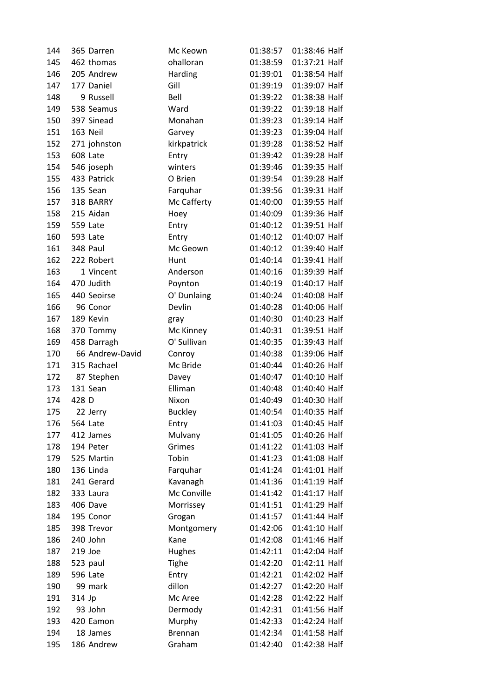| 144 | 365 Darren      | Mc Keown       | 01:38:57 | 01:38:46 Half |
|-----|-----------------|----------------|----------|---------------|
| 145 | 462 thomas      | ohalloran      | 01:38:59 | 01:37:21 Half |
| 146 | 205 Andrew      | Harding        | 01:39:01 | 01:38:54 Half |
| 147 | 177 Daniel      | Gill           | 01:39:19 | 01:39:07 Half |
| 148 | 9 Russell       | Bell           | 01:39:22 | 01:38:38 Half |
| 149 | 538 Seamus      | Ward           | 01:39:22 | 01:39:18 Half |
| 150 | 397 Sinead      | Monahan        | 01:39:23 | 01:39:14 Half |
| 151 | 163 Neil        | Garvey         | 01:39:23 | 01:39:04 Half |
| 152 | 271 johnston    | kirkpatrick    | 01:39:28 | 01:38:52 Half |
| 153 | 608 Late        | Entry          | 01:39:42 | 01:39:28 Half |
| 154 | 546 joseph      | winters        | 01:39:46 | 01:39:35 Half |
| 155 | 433 Patrick     | O Brien        | 01:39:54 | 01:39:28 Half |
| 156 | 135 Sean        | Farquhar       | 01:39:56 | 01:39:31 Half |
| 157 | 318 BARRY       | Mc Cafferty    | 01:40:00 | 01:39:55 Half |
| 158 | 215 Aidan       | Hoey           | 01:40:09 | 01:39:36 Half |
| 159 | 559 Late        | Entry          | 01:40:12 | 01:39:51 Half |
| 160 | 593 Late        | Entry          | 01:40:12 | 01:40:07 Half |
| 161 | 348 Paul        | Mc Geown       | 01:40:12 | 01:39:40 Half |
| 162 | 222 Robert      | Hunt           | 01:40:14 | 01:39:41 Half |
| 163 | 1 Vincent       | Anderson       | 01:40:16 | 01:39:39 Half |
| 164 | 470 Judith      | Poynton        | 01:40:19 | 01:40:17 Half |
| 165 | 440 Seoirse     | O' Dunlaing    | 01:40:24 | 01:40:08 Half |
| 166 | 96 Conor        | Devlin         | 01:40:28 | 01:40:06 Half |
| 167 | 189 Kevin       | gray           | 01:40:30 | 01:40:23 Half |
| 168 | 370 Tommy       | Mc Kinney      | 01:40:31 | 01:39:51 Half |
| 169 | 458 Darragh     | O' Sullivan    | 01:40:35 | 01:39:43 Half |
| 170 | 66 Andrew-David | Conroy         | 01:40:38 | 01:39:06 Half |
| 171 | 315 Rachael     | Mc Bride       | 01:40:44 | 01:40:26 Half |
| 172 | 87 Stephen      | Davey          | 01:40:47 | 01:40:10 Half |
| 173 | 131 Sean        | Elliman        | 01:40:48 | 01:40:40 Half |
| 174 | 428 D           | Nixon          | 01:40:49 | 01:40:30 Half |
| 175 | 22 Jerry        | <b>Buckley</b> | 01:40:54 | 01:40:35 Half |
| 176 | 564 Late        | Entry          | 01:41:03 | 01:40:45 Half |
| 177 | 412 James       | Mulvany        | 01:41:05 | 01:40:26 Half |
| 178 | 194 Peter       | Grimes         | 01:41:22 | 01:41:03 Half |
| 179 | 525 Martin      | Tobin          | 01:41:23 | 01:41:08 Half |
| 180 | 136 Linda       | Farquhar       | 01:41:24 | 01:41:01 Half |
| 181 | 241 Gerard      | Kavanagh       | 01:41:36 | 01:41:19 Half |
| 182 | 333 Laura       | Mc Conville    | 01:41:42 | 01:41:17 Half |
| 183 | 406 Dave        | Morrissey      | 01:41:51 | 01:41:29 Half |
| 184 | 195 Conor       | Grogan         | 01:41:57 | 01:41:44 Half |
| 185 | 398 Trevor      | Montgomery     | 01:42:06 | 01:41:10 Half |
| 186 | 240 John        | Kane           | 01:42:08 | 01:41:46 Half |
| 187 | 219 Joe         | Hughes         | 01:42:11 | 01:42:04 Half |
| 188 | 523 paul        | <b>Tighe</b>   | 01:42:20 | 01:42:11 Half |
| 189 | 596 Late        | Entry          | 01:42:21 | 01:42:02 Half |
| 190 | 99 mark         | dillon         | 01:42:27 | 01:42:20 Half |
| 191 | 314 Jp          | Mc Aree        | 01:42:28 | 01:42:22 Half |
| 192 | 93 John         | Dermody        | 01:42:31 | 01:41:56 Half |
| 193 | 420 Eamon       | Murphy         | 01:42:33 | 01:42:24 Half |
| 194 | 18 James        | Brennan        | 01:42:34 | 01:41:58 Half |
| 195 | 186 Andrew      | Graham         | 01:42:40 | 01:42:38 Half |
|     |                 |                |          |               |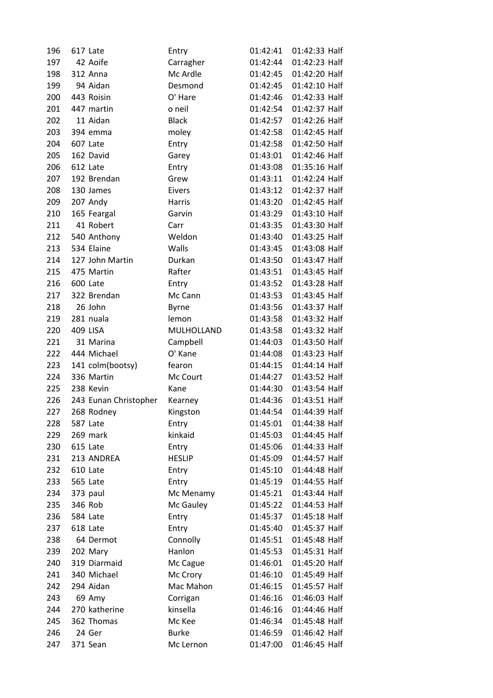| 196 | 617 Late              | Entry         | 01:42:41 | 01:42:33 Half |
|-----|-----------------------|---------------|----------|---------------|
| 197 | 42 Aoife              | Carragher     | 01:42:44 | 01:42:23 Half |
| 198 | 312 Anna              | Mc Ardle      | 01:42:45 | 01:42:20 Half |
| 199 | 94 Aidan              | Desmond       | 01:42:45 | 01:42:10 Half |
| 200 | 443 Roisin            | O' Hare       | 01:42:46 | 01:42:33 Half |
| 201 | 447 martin            | o neil        | 01:42:54 | 01:42:37 Half |
| 202 | 11 Aidan              | <b>Black</b>  | 01:42:57 | 01:42:26 Half |
| 203 | 394 emma              | moley         | 01:42:58 | 01:42:45 Half |
| 204 | 607 Late              | Entry         | 01:42:58 | 01:42:50 Half |
| 205 | 162 David             | Garey         | 01:43:01 | 01:42:46 Half |
| 206 | 612 Late              | Entry         | 01:43:08 | 01:35:16 Half |
| 207 | 192 Brendan           | Grew          | 01:43:11 | 01:42:24 Half |
| 208 | 130 James             | Eivers        | 01:43:12 | 01:42:37 Half |
| 209 | 207 Andy              | Harris        | 01:43:20 | 01:42:45 Half |
| 210 | 165 Feargal           | Garvin        | 01:43:29 | 01:43:10 Half |
| 211 | 41 Robert             | Carr          | 01:43:35 | 01:43:30 Half |
| 212 | 540 Anthony           | Weldon        | 01:43:40 | 01:43:25 Half |
| 213 | 534 Elaine            | Walls         | 01:43:45 | 01:43:08 Half |
| 214 | 127 John Martin       | Durkan        | 01:43:50 | 01:43:47 Half |
| 215 | 475 Martin            | Rafter        | 01:43:51 | 01:43:45 Half |
| 216 | 600 Late              | Entry         | 01:43:52 | 01:43:28 Half |
| 217 | 322 Brendan           | Mc Cann       | 01:43:53 | 01:43:45 Half |
| 218 | 26 John               | <b>Byrne</b>  | 01:43:56 | 01:43:37 Half |
| 219 | 281 nuala             | lemon         | 01:43:58 | 01:43:32 Half |
| 220 | <b>409 LISA</b>       | MULHOLLAND    | 01:43:58 | 01:43:32 Half |
| 221 | 31 Marina             | Campbell      | 01:44:03 | 01:43:50 Half |
| 222 | 444 Michael           | O' Kane       | 01:44:08 | 01:43:23 Half |
| 223 | 141 colm(bootsy)      | fearon        | 01:44:15 | 01:44:14 Half |
| 224 | 336 Martin            | Mc Court      | 01:44:27 | 01:43:52 Half |
| 225 | 238 Kevin             | Kane          | 01:44:30 | 01:43:54 Half |
| 226 | 243 Eunan Christopher | Kearney       | 01:44:36 | 01:43:51 Half |
| 227 | 268 Rodney            | Kingston      | 01:44:54 | 01:44:39 Half |
| 228 | 587 Late              | Entry         | 01:45:01 | 01:44:38 Half |
| 229 | 269 mark              | kinkaid       | 01:45:03 | 01:44:45 Half |
| 230 | 615 Late              | Entry         | 01:45:06 | 01:44:33 Half |
| 231 | 213 ANDREA            | <b>HESLIP</b> | 01:45:09 | 01:44:57 Half |
| 232 | 610 Late              | Entry         | 01:45:10 | 01:44:48 Half |
| 233 | 565 Late              | Entry         | 01:45:19 | 01:44:55 Half |
| 234 | 373 paul              | Mc Menamy     | 01:45:21 | 01:43:44 Half |
| 235 | 346 Rob               | Mc Gauley     | 01:45:22 | 01:44:53 Half |
| 236 | 584 Late              | Entry         | 01:45:37 | 01:45:18 Half |
| 237 | 618 Late              | Entry         | 01:45:40 | 01:45:37 Half |
| 238 | 64 Dermot             | Connolly      | 01:45:51 | 01:45:48 Half |
| 239 | 202 Mary              | Hanlon        | 01:45:53 | 01:45:31 Half |
| 240 | 319 Diarmaid          | Mc Cague      | 01:46:01 | 01:45:20 Half |
| 241 | 340 Michael           | Mc Crory      | 01:46:10 | 01:45:49 Half |
| 242 | 294 Aidan             | Mac Mahon     | 01:46:15 | 01:45:57 Half |
| 243 | 69 Amy                | Corrigan      | 01:46:16 | 01:46:03 Half |
| 244 | 270 katherine         | kinsella      | 01:46:16 | 01:44:46 Half |
| 245 | 362 Thomas            | Mc Kee        | 01:46:34 | 01:45:48 Half |
| 246 | 24 Ger                | <b>Burke</b>  | 01:46:59 | 01:46:42 Half |
| 247 | 371 Sean              | Mc Lernon     | 01:47:00 | 01:46:45 Half |
|     |                       |               |          |               |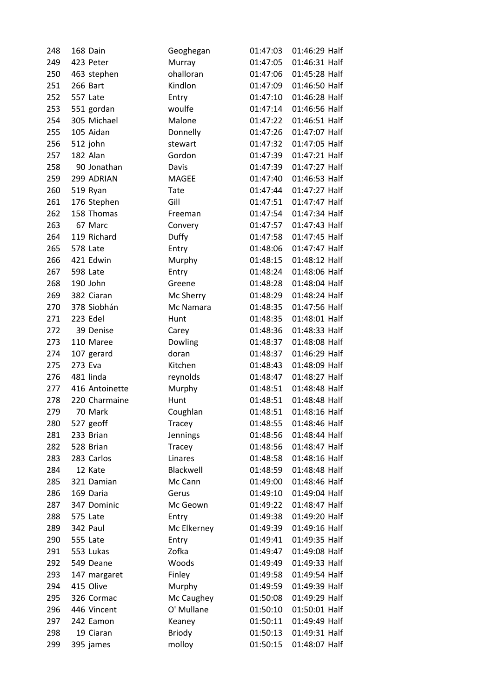| 248 | 168 Dain       | Geoghegan     | 01:47:03 | 01:46:29 Half |  |
|-----|----------------|---------------|----------|---------------|--|
| 249 | 423 Peter      | Murray        | 01:47:05 | 01:46:31 Half |  |
| 250 | 463 stephen    | ohalloran     | 01:47:06 | 01:45:28 Half |  |
| 251 | 266 Bart       | Kindlon       | 01:47:09 | 01:46:50 Half |  |
| 252 | 557 Late       | Entry         | 01:47:10 | 01:46:28 Half |  |
| 253 | 551 gordan     | woulfe        | 01:47:14 | 01:46:56 Half |  |
| 254 | 305 Michael    | Malone        | 01:47:22 | 01:46:51 Half |  |
| 255 | 105 Aidan      | Donnelly      | 01:47:26 | 01:47:07 Half |  |
| 256 | 512 john       | stewart       | 01:47:32 | 01:47:05 Half |  |
| 257 | 182 Alan       | Gordon        | 01:47:39 | 01:47:21 Half |  |
| 258 | 90 Jonathan    | Davis         | 01:47:39 | 01:47:27 Half |  |
| 259 | 299 ADRIAN     | MAGEE         | 01:47:40 | 01:46:53 Half |  |
| 260 | 519 Ryan       | Tate          | 01:47:44 | 01:47:27 Half |  |
| 261 | 176 Stephen    | Gill          | 01:47:51 | 01:47:47 Half |  |
| 262 | 158 Thomas     | Freeman       | 01:47:54 | 01:47:34 Half |  |
| 263 | 67 Marc        | Convery       | 01:47:57 | 01:47:43 Half |  |
| 264 | 119 Richard    | <b>Duffy</b>  | 01:47:58 | 01:47:45 Half |  |
| 265 | 578 Late       | Entry         | 01:48:06 | 01:47:47 Half |  |
| 266 | 421 Edwin      | Murphy        | 01:48:15 | 01:48:12 Half |  |
| 267 | 598 Late       | Entry         | 01:48:24 | 01:48:06 Half |  |
| 268 | 190 John       | Greene        | 01:48:28 | 01:48:04 Half |  |
| 269 | 382 Ciaran     | Mc Sherry     | 01:48:29 | 01:48:24 Half |  |
| 270 | 378 Siobhán    | Mc Namara     | 01:48:35 | 01:47:56 Half |  |
| 271 | 223 Edel       | Hunt          | 01:48:35 | 01:48:01 Half |  |
| 272 | 39 Denise      | Carey         | 01:48:36 | 01:48:33 Half |  |
| 273 | 110 Maree      | Dowling       | 01:48:37 | 01:48:08 Half |  |
| 274 | 107 gerard     | doran         | 01:48:37 | 01:46:29 Half |  |
| 275 | 273 Eva        | Kitchen       | 01:48:43 | 01:48:09 Half |  |
| 276 | 481 linda      | reynolds      | 01:48:47 | 01:48:27 Half |  |
| 277 | 416 Antoinette | Murphy        | 01:48:51 | 01:48:48 Half |  |
| 278 | 220 Charmaine  | Hunt          | 01:48:51 | 01:48:48 Half |  |
| 279 | 70 Mark        | Coughlan      | 01:48:51 | 01:48:16 Half |  |
| 280 | 527 geoff      | Tracey        | 01:48:55 | 01:48:46 Half |  |
| 281 | 233 Brian      | Jennings      | 01:48:56 | 01:48:44 Half |  |
| 282 | 528 Brian      | <b>Tracey</b> | 01:48:56 | 01:48:47 Half |  |
| 283 | 283 Carlos     | Linares       | 01:48:58 | 01:48:16 Half |  |
| 284 | 12 Kate        | Blackwell     | 01:48:59 | 01:48:48 Half |  |
| 285 | 321 Damian     | Mc Cann       | 01:49:00 | 01:48:46 Half |  |
| 286 | 169 Daria      | Gerus         | 01:49:10 | 01:49:04 Half |  |
| 287 | 347 Dominic    | Mc Geown      | 01:49:22 | 01:48:47 Half |  |
| 288 | 575 Late       | Entry         | 01:49:38 | 01:49:20 Half |  |
| 289 | 342 Paul       | Mc Elkerney   | 01:49:39 | 01:49:16 Half |  |
| 290 | 555 Late       | Entry         | 01:49:41 | 01:49:35 Half |  |
| 291 | 553 Lukas      | Zofka         | 01:49:47 | 01:49:08 Half |  |
| 292 | 549 Deane      | Woods         | 01:49:49 | 01:49:33 Half |  |
| 293 | 147 margaret   | Finley        | 01:49:58 | 01:49:54 Half |  |
| 294 | 415 Olive      | Murphy        | 01:49:59 | 01:49:39 Half |  |
| 295 | 326 Cormac     | Mc Caughey    | 01:50:08 | 01:49:29 Half |  |
| 296 | 446 Vincent    | O' Mullane    | 01:50:10 | 01:50:01 Half |  |
| 297 | 242 Eamon      | Keaney        | 01:50:11 | 01:49:49 Half |  |
| 298 | 19 Ciaran      | <b>Briody</b> | 01:50:13 | 01:49:31 Half |  |
| 299 | 395 james      | molloy        | 01:50:15 | 01:48:07 Half |  |
|     |                |               |          |               |  |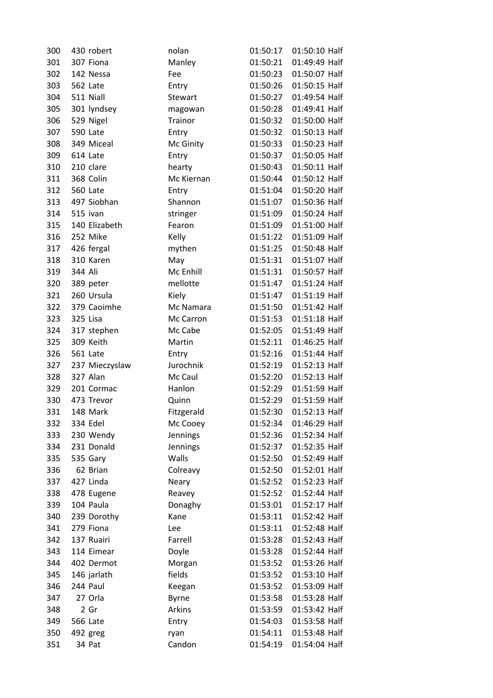| 300 | 430 robert      | nolan          | 01:50:17 | 01:50:10 Half |
|-----|-----------------|----------------|----------|---------------|
| 301 | 307 Fiona       | Manley         | 01:50:21 | 01:49:49 Half |
| 302 | 142 Nessa       | Fee            | 01:50:23 | 01:50:07 Half |
| 303 | 562 Late        | Entry          | 01:50:26 | 01:50:15 Half |
| 304 | 511 Niall       | <b>Stewart</b> | 01:50:27 | 01:49:54 Half |
| 305 | 301 lyndsey     | magowan        | 01:50:28 | 01:49:41 Half |
| 306 | 529 Nigel       | Trainor        | 01:50:32 | 01:50:00 Half |
| 307 | 590 Late        | Entry          | 01:50:32 | 01:50:13 Half |
| 308 | 349 Miceal      | Mc Ginity      | 01:50:33 | 01:50:23 Half |
| 309 | 614 Late        | Entry          | 01:50:37 | 01:50:05 Half |
| 310 | 210 clare       | hearty         | 01:50:43 | 01:50:11 Half |
| 311 | 368 Colin       | Mc Kiernan     | 01:50:44 | 01:50:12 Half |
| 312 | 560 Late        | Entry          | 01:51:04 | 01:50:20 Half |
| 313 | 497 Siobhan     | Shannon        | 01:51:07 | 01:50:36 Half |
| 314 | 515 ivan        | stringer       | 01:51:09 | 01:50:24 Half |
| 315 | 140 Elizabeth   | Fearon         | 01:51:09 | 01:51:00 Half |
| 316 | 252 Mike        | Kelly          | 01:51:22 | 01:51:09 Half |
| 317 | 426 fergal      | mythen         | 01:51:25 | 01:50:48 Half |
| 318 | 310 Karen       | May            | 01:51:31 | 01:51:07 Half |
| 319 | 344 Ali         | Mc Enhill      | 01:51:31 | 01:50:57 Half |
| 320 | 389 peter       | mellotte       | 01:51:47 | 01:51:24 Half |
| 321 | 260 Ursula      | Kiely          | 01:51:47 | 01:51:19 Half |
| 322 | 379 Caoimhe     | Mc Namara      | 01:51:50 | 01:51:42 Half |
| 323 | 325 Lisa        | Mc Carron      | 01:51:53 | 01:51:18 Half |
| 324 | 317 stephen     | Mc Cabe        | 01:52:05 | 01:51:49 Half |
| 325 | 309 Keith       | Martin         | 01:52:11 | 01:46:25 Half |
| 326 | 561 Late        | Entry          | 01:52:16 | 01:51:44 Half |
| 327 | 237 Mieczyslaw  | Jurochnik      | 01:52:19 | 01:52:13 Half |
| 328 | 327 Alan        | Mc Caul        | 01:52:20 | 01:52:13 Half |
| 329 | 201 Cormac      | Hanlon         | 01:52:29 | 01:51:59 Half |
| 330 | 473 Trevor      | Quinn          | 01:52:29 | 01:51:59 Half |
| 331 | 148 Mark        | Fitzgerald     | 01:52:30 | 01:52:13 Half |
| 332 | 334 Edel        | Mc Cooey       | 01:52:34 | 01:46:29 Half |
| 333 | 230 Wendy       | Jennings       | 01:52:36 | 01:52:34 Half |
| 334 | 231 Donald      | Jennings       | 01:52:37 | 01:52:35 Half |
| 335 | 535 Gary        | Walls          | 01:52:50 | 01:52:49 Half |
| 336 | 62 Brian        | Colreavy       | 01:52:50 | 01:52:01 Half |
| 337 | 427 Linda       | Neary          | 01:52:52 | 01:52:23 Half |
| 338 | 478 Eugene      | Reavey         | 01:52:52 | 01:52:44 Half |
| 339 | 104 Paula       | Donaghy        | 01:53:01 | 01:52:17 Half |
| 340 | 239 Dorothy     | Kane           | 01:53:11 | 01:52:42 Half |
| 341 | 279 Fiona       | Lee            | 01:53:11 | 01:52:48 Half |
| 342 | 137 Ruairi      | Farrell        | 01:53:28 | 01:52:43 Half |
| 343 | 114 Eimear      | Doyle          | 01:53:28 | 01:52:44 Half |
| 344 | 402 Dermot      | Morgan         | 01:53:52 | 01:53:26 Half |
| 345 | 146 jarlath     | fields         | 01:53:52 | 01:53:10 Half |
| 346 | 244 Paul        | Keegan         | 01:53:52 | 01:53:09 Half |
| 347 | 27 Orla         | <b>Byrne</b>   | 01:53:58 | 01:53:28 Half |
| 348 | 2 Gr            | Arkins         | 01:53:59 | 01:53:42 Half |
| 349 | <b>566 Late</b> | Entry          | 01:54:03 | 01:53:58 Half |
| 350 | 492 greg        | ryan           | 01:54:11 | 01:53:48 Half |
| 351 | 34 Pat          | Candon         | 01:54:19 | 01:54:04 Half |
|     |                 |                |          |               |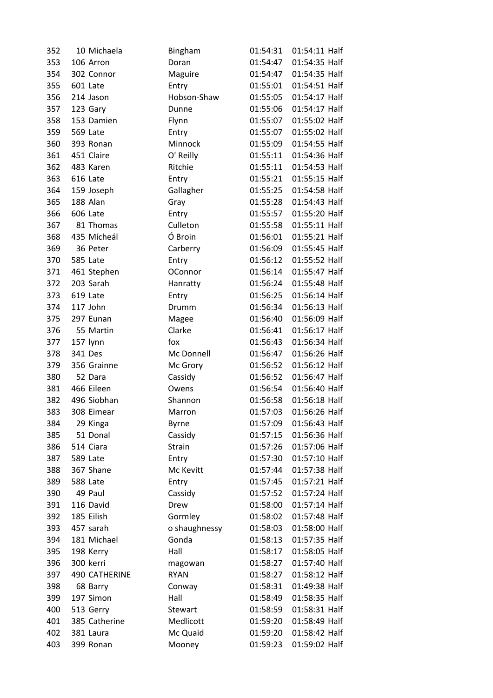| 352 | 10 Michaela          | Bingham        | 01:54:31 | 01:54:11 Half |
|-----|----------------------|----------------|----------|---------------|
| 353 | 106 Arron            | Doran          | 01:54:47 | 01:54:35 Half |
| 354 | 302 Connor           | Maguire        | 01:54:47 | 01:54:35 Half |
| 355 | 601 Late             | Entry          | 01:55:01 | 01:54:51 Half |
| 356 | 214 Jason            | Hobson-Shaw    | 01:55:05 | 01:54:17 Half |
| 357 | 123 Gary             | Dunne          | 01:55:06 | 01:54:17 Half |
| 358 | 153 Damien           | Flynn          | 01:55:07 | 01:55:02 Half |
| 359 | 569 Late             | Entry          | 01:55:07 | 01:55:02 Half |
| 360 | 393 Ronan            | Minnock        | 01:55:09 | 01:54:55 Half |
| 361 | 451 Claire           | O' Reilly      | 01:55:11 | 01:54:36 Half |
| 362 | 483 Karen            | Ritchie        | 01:55:11 | 01:54:53 Half |
| 363 | 616 Late             | Entry          | 01:55:21 | 01:55:15 Half |
| 364 | 159 Joseph           | Gallagher      | 01:55:25 | 01:54:58 Half |
| 365 | 188 Alan             | Gray           | 01:55:28 | 01:54:43 Half |
| 366 | 606 Late             | Entry          | 01:55:57 | 01:55:20 Half |
| 367 | 81 Thomas            | Culleton       | 01:55:58 | 01:55:11 Half |
| 368 | 435 Mícheál          | Ó Broin        | 01:56:01 | 01:55:21 Half |
| 369 | 36 Peter             | Carberry       | 01:56:09 | 01:55:45 Half |
| 370 | 585 Late             | Entry          | 01:56:12 | 01:55:52 Half |
| 371 | 461 Stephen          | <b>OConnor</b> | 01:56:14 | 01:55:47 Half |
| 372 | 203 Sarah            | Hanratty       | 01:56:24 | 01:55:48 Half |
| 373 | 619 Late             | Entry          | 01:56:25 | 01:56:14 Half |
| 374 | 117 John             | Drumm          | 01:56:34 | 01:56:13 Half |
| 375 | 297 Eunan            | Magee          | 01:56:40 | 01:56:09 Half |
| 376 | 55 Martin            | Clarke         | 01:56:41 | 01:56:17 Half |
| 377 | 157 lynn             | fox            | 01:56:43 | 01:56:34 Half |
| 378 | 341 Des              | Mc Donnell     | 01:56:47 | 01:56:26 Half |
| 379 | 356 Grainne          | Mc Grory       | 01:56:52 | 01:56:12 Half |
| 380 | 52 Dara              | Cassidy        | 01:56:52 | 01:56:47 Half |
| 381 | 466 Eileen           | Owens          | 01:56:54 | 01:56:40 Half |
| 382 | 496 Siobhan          | Shannon        | 01:56:58 | 01:56:18 Half |
| 383 | 308 Eimear           | Marron         | 01:57:03 | 01:56:26 Half |
| 384 | 29 Kinga             | <b>Byrne</b>   | 01:57:09 | 01:56:43 Half |
| 385 | 51 Donal             | Cassidy        | 01:57:15 | 01:56:36 Half |
| 386 | 514 Ciara            | Strain         | 01:57:26 | 01:57:06 Half |
| 387 | 589 Late             | Entry          | 01:57:30 | 01:57:10 Half |
| 388 | 367 Shane            | Mc Kevitt      | 01:57:44 | 01:57:38 Half |
| 389 | 588 Late             | Entry          | 01:57:45 | 01:57:21 Half |
| 390 | 49 Paul              | Cassidy        | 01:57:52 | 01:57:24 Half |
| 391 | 116 David            | Drew           | 01:58:00 | 01:57:14 Half |
| 392 | 185 Eilish           | Gormley        | 01:58:02 | 01:57:48 Half |
| 393 | 457 sarah            | o shaughnessy  | 01:58:03 | 01:58:00 Half |
| 394 | 181 Michael          | Gonda          | 01:58:13 | 01:57:35 Half |
| 395 | 198 Kerry            | Hall           | 01:58:17 | 01:58:05 Half |
| 396 | 300 kerri            | magowan        | 01:58:27 | 01:57:40 Half |
| 397 | <b>490 CATHERINE</b> | <b>RYAN</b>    | 01:58:27 | 01:58:12 Half |
| 398 | 68 Barry             | Conway         | 01:58:31 | 01:49:38 Half |
| 399 | 197 Simon            | Hall           | 01:58:49 | 01:58:35 Half |
| 400 | 513 Gerry            | Stewart        | 01:58:59 | 01:58:31 Half |
| 401 | 385 Catherine        | Medlicott      | 01:59:20 | 01:58:49 Half |
| 402 | 381 Laura            | Mc Quaid       | 01:59:20 | 01:58:42 Half |
| 403 | 399 Ronan            | Mooney         | 01:59:23 | 01:59:02 Half |
|     |                      |                |          |               |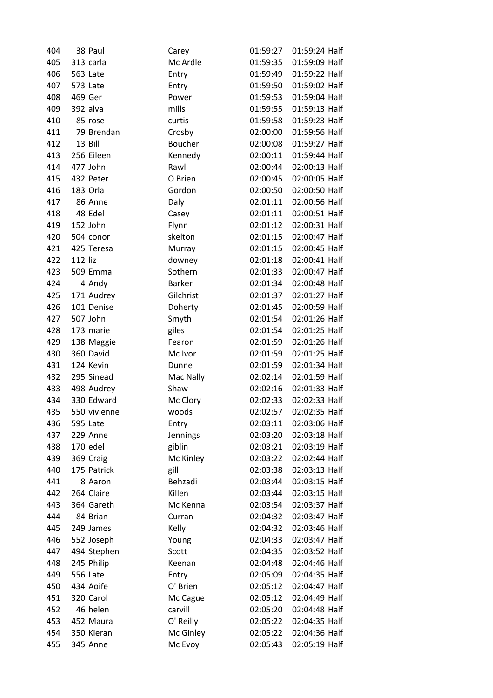| 404 | 38 Paul         | Carey         | 01:59:27 | 01:59:24 Half |  |
|-----|-----------------|---------------|----------|---------------|--|
| 405 | 313 carla       | Mc Ardle      | 01:59:35 | 01:59:09 Half |  |
| 406 | 563 Late        | Entry         | 01:59:49 | 01:59:22 Half |  |
| 407 | 573 Late        | Entry         | 01:59:50 | 01:59:02 Half |  |
| 408 | 469 Ger         | Power         | 01:59:53 | 01:59:04 Half |  |
| 409 | 392 alva        | mills         | 01:59:55 | 01:59:13 Half |  |
| 410 | 85 rose         | curtis        | 01:59:58 | 01:59:23 Half |  |
| 411 | 79 Brendan      | Crosby        | 02:00:00 | 01:59:56 Half |  |
| 412 | 13 Bill         | Boucher       | 02:00:08 | 01:59:27 Half |  |
| 413 | 256 Eileen      | Kennedy       | 02:00:11 | 01:59:44 Half |  |
| 414 | 477 John        | Rawl          | 02:00:44 | 02:00:13 Half |  |
| 415 | 432 Peter       | O Brien       | 02:00:45 | 02:00:05 Half |  |
| 416 | 183 Orla        | Gordon        | 02:00:50 | 02:00:50 Half |  |
| 417 | 86 Anne         | Daly          | 02:01:11 | 02:00:56 Half |  |
| 418 | 48 Edel         | Casey         | 02:01:11 | 02:00:51 Half |  |
| 419 | 152 John        | Flynn         | 02:01:12 | 02:00:31 Half |  |
| 420 | 504 conor       | skelton       | 02:01:15 | 02:00:47 Half |  |
| 421 | 425 Teresa      | Murray        | 02:01:15 | 02:00:45 Half |  |
| 422 | 112 liz         | downey        | 02:01:18 | 02:00:41 Half |  |
| 423 | 509 Emma        | Sothern       | 02:01:33 | 02:00:47 Half |  |
| 424 | 4 Andy          | <b>Barker</b> | 02:01:34 | 02:00:48 Half |  |
| 425 | 171 Audrey      | Gilchrist     | 02:01:37 | 02:01:27 Half |  |
| 426 | 101 Denise      | Doherty       | 02:01:45 | 02:00:59 Half |  |
| 427 | 507 John        | Smyth         | 02:01:54 | 02:01:26 Half |  |
| 428 | 173 marie       | giles         | 02:01:54 | 02:01:25 Half |  |
| 429 | 138 Maggie      | Fearon        | 02:01:59 | 02:01:26 Half |  |
| 430 | 360 David       | Mc Ivor       | 02:01:59 | 02:01:25 Half |  |
| 431 | 124 Kevin       | Dunne         | 02:01:59 | 02:01:34 Half |  |
| 432 | 295 Sinead      | Mac Nally     | 02:02:14 | 02:01:59 Half |  |
| 433 | 498 Audrey      | Shaw          | 02:02:16 | 02:01:33 Half |  |
| 434 | 330 Edward      | Mc Clory      | 02:02:33 | 02:02:33 Half |  |
| 435 | 550 vivienne    | woods         | 02:02:57 | 02:02:35 Half |  |
| 436 | 595 Late        | Entry         | 02:03:11 | 02:03:06 Half |  |
| 437 | 229 Anne        | Jennings      | 02:03:20 | 02:03:18 Half |  |
| 438 | 170 edel        | giblin        | 02:03:21 | 02:03:19 Half |  |
| 439 | 369 Craig       | Mc Kinley     | 02:03:22 | 02:02:44 Half |  |
| 440 | 175 Patrick     | gill          | 02:03:38 | 02:03:13 Half |  |
| 441 | 8 Aaron         | Behzadi       | 02:03:44 | 02:03:15 Half |  |
| 442 | 264 Claire      | Killen        | 02:03:44 | 02:03:15 Half |  |
| 443 | 364 Gareth      | Mc Kenna      | 02:03:54 | 02:03:37 Half |  |
| 444 | 84 Brian        | Curran        | 02:04:32 | 02:03:47 Half |  |
| 445 | 249 James       | Kelly         | 02:04:32 | 02:03:46 Half |  |
| 446 | 552 Joseph      | Young         | 02:04:33 | 02:03:47 Half |  |
| 447 | 494 Stephen     | Scott         | 02:04:35 | 02:03:52 Half |  |
| 448 | 245 Philip      | Keenan        | 02:04:48 | 02:04:46 Half |  |
| 449 | <b>556 Late</b> | Entry         | 02:05:09 | 02:04:35 Half |  |
| 450 | 434 Aoife       | O' Brien      | 02:05:12 | 02:04:47 Half |  |
| 451 | 320 Carol       | Mc Cague      | 02:05:12 | 02:04:49 Half |  |
| 452 | 46 helen        | carvill       | 02:05:20 | 02:04:48 Half |  |
| 453 | 452 Maura       | O' Reilly     | 02:05:22 | 02:04:35 Half |  |
| 454 | 350 Kieran      | Mc Ginley     | 02:05:22 | 02:04:36 Half |  |
| 455 | 345 Anne        | Mc Evoy       | 02:05:43 | 02:05:19 Half |  |
|     |                 |               |          |               |  |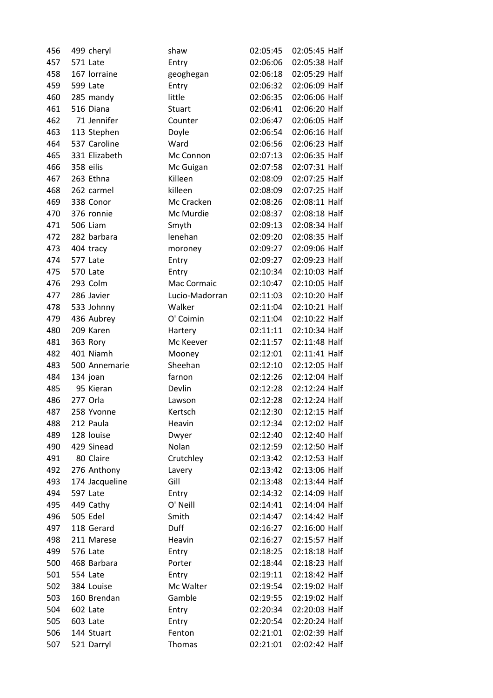| 457<br>02:05:38 Half<br>571 Late<br>02:06:06<br>Entry<br>458<br>167 lorraine<br>geoghegan<br>02:06:18<br>02:05:29 Half<br>459<br>599 Late<br>Entry<br>02:06:32<br>02:06:09 Half<br>460<br>02:06:06 Half<br>285 mandy<br>little<br>02:06:35<br>461<br>516 Diana<br>02:06:41<br>02:06:20 Half<br>Stuart<br>71 Jennifer<br>02:06:05 Half<br>462<br>Counter<br>02:06:47<br>02:06:16 Half<br>463<br>113 Stephen<br>Doyle<br>02:06:54<br>537 Caroline<br>02:06:23 Half<br>464<br>Ward<br>02:06:56<br>331 Elizabeth<br>465<br>Mc Connon<br>02:07:13<br>02:06:35 Half<br>02:07:58<br>02:07:31 Half<br>466<br>358 eilis<br>Mc Guigan<br>467<br>Killeen<br>02:08:09<br>02:07:25 Half<br>263 Ethna<br>02:07:25 Half<br>468<br>killeen<br>02:08:09<br>262 carmel<br>Mc Cracken<br>469<br>338 Conor<br>02:08:26<br>02:08:11 Half<br>02:08:18 Half<br>470<br>376 ronnie<br>Mc Murdie<br>02:08:37<br><b>506 Liam</b><br>02:09:13<br>02:08:34 Half<br>471<br>Smyth<br>282 barbara<br>lenehan<br>02:09:20<br>02:08:35 Half<br>472<br>02:09:06 Half<br>473<br>404 tracy<br>02:09:27<br>moroney<br>577 Late<br>02:09:27<br>02:09:23 Half<br>474<br>Entry<br>02:10:34<br>02:10:03 Half<br>475<br>570 Late<br>Entry<br>293 Colm<br>02:10:47<br>02:10:05 Half<br>476<br>Mac Cormaic<br>02:10:20 Half<br>477<br>286 Javier<br>Lucio-Madorran<br>02:11:03<br>02:11:04<br>02:10:21 Half<br>478<br>533 Johnny<br>Walker<br>O' Coimin<br>02:11:04<br>02:10:22 Half<br>436 Aubrey<br>479<br>480<br>209 Karen<br>02:11:11<br>02:10:34 Half<br>Hartery<br>481<br>363 Rory<br>Mc Keever<br>02:11:57<br>02:11:48 Half<br>401 Niamh<br>482<br>02:12:01<br>02:11:41 Half<br>Mooney<br>Sheehan<br>02:12:10<br>02:12:05 Half<br>483<br>500 Annemarie<br>02:12:26<br>02:12:04 Half<br>484<br>134 joan<br>farnon<br>Devlin<br>485<br>95 Kieran<br>02:12:28<br>02:12:24 Half<br>277 Orla<br>02:12:24 Half<br>486<br>02:12:28<br>Lawson<br>02:12:15 Half<br>487<br>258 Yvonne<br>Kertsch<br>02:12:30<br>02:12:02 Half<br>212 Paula<br>Heavin<br>02:12:34<br>488<br>128 louise<br>02:12:40 Half<br>489<br>02:12:40<br>Dwyer<br>429 Sinead<br>Nolan<br>490<br>02:12:59<br>02:12:50 Half<br>80 Claire<br>Crutchley<br>491<br>02:13:42<br>02:12:53 Half<br>276 Anthony<br>02:13:06 Half<br>492<br>02:13:42<br>Lavery<br>493<br>Gill<br>02:13:44 Half<br>174 Jacqueline<br>02:13:48<br>494<br>597 Late<br>02:14:32<br>02:14:09 Half<br>Entry<br>O' Neill<br>02:14:04 Half<br>495<br>449 Cathy<br>02:14:41<br><b>505 Edel</b><br>Smith<br>02:14:42 Half<br>496<br>02:14:47<br>Duff<br>497<br>118 Gerard<br>02:16:27<br>02:16:00 Half<br>02:15:57 Half<br>498<br>211 Marese<br>Heavin<br>02:16:27<br>02:18:18 Half<br>499<br>576 Late<br>02:18:25<br>Entry<br>500<br>468 Barbara<br>02:18:44<br>02:18:23 Half<br>Porter<br>02:18:42 Half<br>501<br>554 Late<br>02:19:11<br>Entry<br>02:19:02 Half<br>502<br>384 Louise<br>Mc Walter<br>02:19:54<br>Gamble<br>503<br>160 Brendan<br>02:19:55<br>02:19:02 Half<br>02:20:03 Half<br>504<br>602 Late<br>02:20:34<br>Entry<br>02:20:24 Half<br>505<br>603 Late<br>02:20:54<br>Entry<br>Fenton<br>02:02:39 Half<br>506<br>144 Stuart<br>02:21:01<br>507<br>521 Darryl<br><b>Thomas</b><br>02:21:01<br>02:02:42 Half | 456 | 499 cheryl | shaw | 02:05:45 | 02:05:45 Half |
|----------------------------------------------------------------------------------------------------------------------------------------------------------------------------------------------------------------------------------------------------------------------------------------------------------------------------------------------------------------------------------------------------------------------------------------------------------------------------------------------------------------------------------------------------------------------------------------------------------------------------------------------------------------------------------------------------------------------------------------------------------------------------------------------------------------------------------------------------------------------------------------------------------------------------------------------------------------------------------------------------------------------------------------------------------------------------------------------------------------------------------------------------------------------------------------------------------------------------------------------------------------------------------------------------------------------------------------------------------------------------------------------------------------------------------------------------------------------------------------------------------------------------------------------------------------------------------------------------------------------------------------------------------------------------------------------------------------------------------------------------------------------------------------------------------------------------------------------------------------------------------------------------------------------------------------------------------------------------------------------------------------------------------------------------------------------------------------------------------------------------------------------------------------------------------------------------------------------------------------------------------------------------------------------------------------------------------------------------------------------------------------------------------------------------------------------------------------------------------------------------------------------------------------------------------------------------------------------------------------------------------------------------------------------------------------------------------------------------------------------------------------------------------------------------------------------------------------------------------------------------------------------------------------------------------------------------------------------------------------------------------------------------------------------------------------------------------------------------------------------------------------------------------------------------------------------------------------|-----|------------|------|----------|---------------|
|                                                                                                                                                                                                                                                                                                                                                                                                                                                                                                                                                                                                                                                                                                                                                                                                                                                                                                                                                                                                                                                                                                                                                                                                                                                                                                                                                                                                                                                                                                                                                                                                                                                                                                                                                                                                                                                                                                                                                                                                                                                                                                                                                                                                                                                                                                                                                                                                                                                                                                                                                                                                                                                                                                                                                                                                                                                                                                                                                                                                                                                                                                                                                                                                                |     |            |      |          |               |
|                                                                                                                                                                                                                                                                                                                                                                                                                                                                                                                                                                                                                                                                                                                                                                                                                                                                                                                                                                                                                                                                                                                                                                                                                                                                                                                                                                                                                                                                                                                                                                                                                                                                                                                                                                                                                                                                                                                                                                                                                                                                                                                                                                                                                                                                                                                                                                                                                                                                                                                                                                                                                                                                                                                                                                                                                                                                                                                                                                                                                                                                                                                                                                                                                |     |            |      |          |               |
|                                                                                                                                                                                                                                                                                                                                                                                                                                                                                                                                                                                                                                                                                                                                                                                                                                                                                                                                                                                                                                                                                                                                                                                                                                                                                                                                                                                                                                                                                                                                                                                                                                                                                                                                                                                                                                                                                                                                                                                                                                                                                                                                                                                                                                                                                                                                                                                                                                                                                                                                                                                                                                                                                                                                                                                                                                                                                                                                                                                                                                                                                                                                                                                                                |     |            |      |          |               |
|                                                                                                                                                                                                                                                                                                                                                                                                                                                                                                                                                                                                                                                                                                                                                                                                                                                                                                                                                                                                                                                                                                                                                                                                                                                                                                                                                                                                                                                                                                                                                                                                                                                                                                                                                                                                                                                                                                                                                                                                                                                                                                                                                                                                                                                                                                                                                                                                                                                                                                                                                                                                                                                                                                                                                                                                                                                                                                                                                                                                                                                                                                                                                                                                                |     |            |      |          |               |
|                                                                                                                                                                                                                                                                                                                                                                                                                                                                                                                                                                                                                                                                                                                                                                                                                                                                                                                                                                                                                                                                                                                                                                                                                                                                                                                                                                                                                                                                                                                                                                                                                                                                                                                                                                                                                                                                                                                                                                                                                                                                                                                                                                                                                                                                                                                                                                                                                                                                                                                                                                                                                                                                                                                                                                                                                                                                                                                                                                                                                                                                                                                                                                                                                |     |            |      |          |               |
|                                                                                                                                                                                                                                                                                                                                                                                                                                                                                                                                                                                                                                                                                                                                                                                                                                                                                                                                                                                                                                                                                                                                                                                                                                                                                                                                                                                                                                                                                                                                                                                                                                                                                                                                                                                                                                                                                                                                                                                                                                                                                                                                                                                                                                                                                                                                                                                                                                                                                                                                                                                                                                                                                                                                                                                                                                                                                                                                                                                                                                                                                                                                                                                                                |     |            |      |          |               |
|                                                                                                                                                                                                                                                                                                                                                                                                                                                                                                                                                                                                                                                                                                                                                                                                                                                                                                                                                                                                                                                                                                                                                                                                                                                                                                                                                                                                                                                                                                                                                                                                                                                                                                                                                                                                                                                                                                                                                                                                                                                                                                                                                                                                                                                                                                                                                                                                                                                                                                                                                                                                                                                                                                                                                                                                                                                                                                                                                                                                                                                                                                                                                                                                                |     |            |      |          |               |
|                                                                                                                                                                                                                                                                                                                                                                                                                                                                                                                                                                                                                                                                                                                                                                                                                                                                                                                                                                                                                                                                                                                                                                                                                                                                                                                                                                                                                                                                                                                                                                                                                                                                                                                                                                                                                                                                                                                                                                                                                                                                                                                                                                                                                                                                                                                                                                                                                                                                                                                                                                                                                                                                                                                                                                                                                                                                                                                                                                                                                                                                                                                                                                                                                |     |            |      |          |               |
|                                                                                                                                                                                                                                                                                                                                                                                                                                                                                                                                                                                                                                                                                                                                                                                                                                                                                                                                                                                                                                                                                                                                                                                                                                                                                                                                                                                                                                                                                                                                                                                                                                                                                                                                                                                                                                                                                                                                                                                                                                                                                                                                                                                                                                                                                                                                                                                                                                                                                                                                                                                                                                                                                                                                                                                                                                                                                                                                                                                                                                                                                                                                                                                                                |     |            |      |          |               |
|                                                                                                                                                                                                                                                                                                                                                                                                                                                                                                                                                                                                                                                                                                                                                                                                                                                                                                                                                                                                                                                                                                                                                                                                                                                                                                                                                                                                                                                                                                                                                                                                                                                                                                                                                                                                                                                                                                                                                                                                                                                                                                                                                                                                                                                                                                                                                                                                                                                                                                                                                                                                                                                                                                                                                                                                                                                                                                                                                                                                                                                                                                                                                                                                                |     |            |      |          |               |
|                                                                                                                                                                                                                                                                                                                                                                                                                                                                                                                                                                                                                                                                                                                                                                                                                                                                                                                                                                                                                                                                                                                                                                                                                                                                                                                                                                                                                                                                                                                                                                                                                                                                                                                                                                                                                                                                                                                                                                                                                                                                                                                                                                                                                                                                                                                                                                                                                                                                                                                                                                                                                                                                                                                                                                                                                                                                                                                                                                                                                                                                                                                                                                                                                |     |            |      |          |               |
|                                                                                                                                                                                                                                                                                                                                                                                                                                                                                                                                                                                                                                                                                                                                                                                                                                                                                                                                                                                                                                                                                                                                                                                                                                                                                                                                                                                                                                                                                                                                                                                                                                                                                                                                                                                                                                                                                                                                                                                                                                                                                                                                                                                                                                                                                                                                                                                                                                                                                                                                                                                                                                                                                                                                                                                                                                                                                                                                                                                                                                                                                                                                                                                                                |     |            |      |          |               |
|                                                                                                                                                                                                                                                                                                                                                                                                                                                                                                                                                                                                                                                                                                                                                                                                                                                                                                                                                                                                                                                                                                                                                                                                                                                                                                                                                                                                                                                                                                                                                                                                                                                                                                                                                                                                                                                                                                                                                                                                                                                                                                                                                                                                                                                                                                                                                                                                                                                                                                                                                                                                                                                                                                                                                                                                                                                                                                                                                                                                                                                                                                                                                                                                                |     |            |      |          |               |
|                                                                                                                                                                                                                                                                                                                                                                                                                                                                                                                                                                                                                                                                                                                                                                                                                                                                                                                                                                                                                                                                                                                                                                                                                                                                                                                                                                                                                                                                                                                                                                                                                                                                                                                                                                                                                                                                                                                                                                                                                                                                                                                                                                                                                                                                                                                                                                                                                                                                                                                                                                                                                                                                                                                                                                                                                                                                                                                                                                                                                                                                                                                                                                                                                |     |            |      |          |               |
|                                                                                                                                                                                                                                                                                                                                                                                                                                                                                                                                                                                                                                                                                                                                                                                                                                                                                                                                                                                                                                                                                                                                                                                                                                                                                                                                                                                                                                                                                                                                                                                                                                                                                                                                                                                                                                                                                                                                                                                                                                                                                                                                                                                                                                                                                                                                                                                                                                                                                                                                                                                                                                                                                                                                                                                                                                                                                                                                                                                                                                                                                                                                                                                                                |     |            |      |          |               |
|                                                                                                                                                                                                                                                                                                                                                                                                                                                                                                                                                                                                                                                                                                                                                                                                                                                                                                                                                                                                                                                                                                                                                                                                                                                                                                                                                                                                                                                                                                                                                                                                                                                                                                                                                                                                                                                                                                                                                                                                                                                                                                                                                                                                                                                                                                                                                                                                                                                                                                                                                                                                                                                                                                                                                                                                                                                                                                                                                                                                                                                                                                                                                                                                                |     |            |      |          |               |
|                                                                                                                                                                                                                                                                                                                                                                                                                                                                                                                                                                                                                                                                                                                                                                                                                                                                                                                                                                                                                                                                                                                                                                                                                                                                                                                                                                                                                                                                                                                                                                                                                                                                                                                                                                                                                                                                                                                                                                                                                                                                                                                                                                                                                                                                                                                                                                                                                                                                                                                                                                                                                                                                                                                                                                                                                                                                                                                                                                                                                                                                                                                                                                                                                |     |            |      |          |               |
|                                                                                                                                                                                                                                                                                                                                                                                                                                                                                                                                                                                                                                                                                                                                                                                                                                                                                                                                                                                                                                                                                                                                                                                                                                                                                                                                                                                                                                                                                                                                                                                                                                                                                                                                                                                                                                                                                                                                                                                                                                                                                                                                                                                                                                                                                                                                                                                                                                                                                                                                                                                                                                                                                                                                                                                                                                                                                                                                                                                                                                                                                                                                                                                                                |     |            |      |          |               |
|                                                                                                                                                                                                                                                                                                                                                                                                                                                                                                                                                                                                                                                                                                                                                                                                                                                                                                                                                                                                                                                                                                                                                                                                                                                                                                                                                                                                                                                                                                                                                                                                                                                                                                                                                                                                                                                                                                                                                                                                                                                                                                                                                                                                                                                                                                                                                                                                                                                                                                                                                                                                                                                                                                                                                                                                                                                                                                                                                                                                                                                                                                                                                                                                                |     |            |      |          |               |
|                                                                                                                                                                                                                                                                                                                                                                                                                                                                                                                                                                                                                                                                                                                                                                                                                                                                                                                                                                                                                                                                                                                                                                                                                                                                                                                                                                                                                                                                                                                                                                                                                                                                                                                                                                                                                                                                                                                                                                                                                                                                                                                                                                                                                                                                                                                                                                                                                                                                                                                                                                                                                                                                                                                                                                                                                                                                                                                                                                                                                                                                                                                                                                                                                |     |            |      |          |               |
|                                                                                                                                                                                                                                                                                                                                                                                                                                                                                                                                                                                                                                                                                                                                                                                                                                                                                                                                                                                                                                                                                                                                                                                                                                                                                                                                                                                                                                                                                                                                                                                                                                                                                                                                                                                                                                                                                                                                                                                                                                                                                                                                                                                                                                                                                                                                                                                                                                                                                                                                                                                                                                                                                                                                                                                                                                                                                                                                                                                                                                                                                                                                                                                                                |     |            |      |          |               |
|                                                                                                                                                                                                                                                                                                                                                                                                                                                                                                                                                                                                                                                                                                                                                                                                                                                                                                                                                                                                                                                                                                                                                                                                                                                                                                                                                                                                                                                                                                                                                                                                                                                                                                                                                                                                                                                                                                                                                                                                                                                                                                                                                                                                                                                                                                                                                                                                                                                                                                                                                                                                                                                                                                                                                                                                                                                                                                                                                                                                                                                                                                                                                                                                                |     |            |      |          |               |
|                                                                                                                                                                                                                                                                                                                                                                                                                                                                                                                                                                                                                                                                                                                                                                                                                                                                                                                                                                                                                                                                                                                                                                                                                                                                                                                                                                                                                                                                                                                                                                                                                                                                                                                                                                                                                                                                                                                                                                                                                                                                                                                                                                                                                                                                                                                                                                                                                                                                                                                                                                                                                                                                                                                                                                                                                                                                                                                                                                                                                                                                                                                                                                                                                |     |            |      |          |               |
|                                                                                                                                                                                                                                                                                                                                                                                                                                                                                                                                                                                                                                                                                                                                                                                                                                                                                                                                                                                                                                                                                                                                                                                                                                                                                                                                                                                                                                                                                                                                                                                                                                                                                                                                                                                                                                                                                                                                                                                                                                                                                                                                                                                                                                                                                                                                                                                                                                                                                                                                                                                                                                                                                                                                                                                                                                                                                                                                                                                                                                                                                                                                                                                                                |     |            |      |          |               |
|                                                                                                                                                                                                                                                                                                                                                                                                                                                                                                                                                                                                                                                                                                                                                                                                                                                                                                                                                                                                                                                                                                                                                                                                                                                                                                                                                                                                                                                                                                                                                                                                                                                                                                                                                                                                                                                                                                                                                                                                                                                                                                                                                                                                                                                                                                                                                                                                                                                                                                                                                                                                                                                                                                                                                                                                                                                                                                                                                                                                                                                                                                                                                                                                                |     |            |      |          |               |
|                                                                                                                                                                                                                                                                                                                                                                                                                                                                                                                                                                                                                                                                                                                                                                                                                                                                                                                                                                                                                                                                                                                                                                                                                                                                                                                                                                                                                                                                                                                                                                                                                                                                                                                                                                                                                                                                                                                                                                                                                                                                                                                                                                                                                                                                                                                                                                                                                                                                                                                                                                                                                                                                                                                                                                                                                                                                                                                                                                                                                                                                                                                                                                                                                |     |            |      |          |               |
|                                                                                                                                                                                                                                                                                                                                                                                                                                                                                                                                                                                                                                                                                                                                                                                                                                                                                                                                                                                                                                                                                                                                                                                                                                                                                                                                                                                                                                                                                                                                                                                                                                                                                                                                                                                                                                                                                                                                                                                                                                                                                                                                                                                                                                                                                                                                                                                                                                                                                                                                                                                                                                                                                                                                                                                                                                                                                                                                                                                                                                                                                                                                                                                                                |     |            |      |          |               |
|                                                                                                                                                                                                                                                                                                                                                                                                                                                                                                                                                                                                                                                                                                                                                                                                                                                                                                                                                                                                                                                                                                                                                                                                                                                                                                                                                                                                                                                                                                                                                                                                                                                                                                                                                                                                                                                                                                                                                                                                                                                                                                                                                                                                                                                                                                                                                                                                                                                                                                                                                                                                                                                                                                                                                                                                                                                                                                                                                                                                                                                                                                                                                                                                                |     |            |      |          |               |
|                                                                                                                                                                                                                                                                                                                                                                                                                                                                                                                                                                                                                                                                                                                                                                                                                                                                                                                                                                                                                                                                                                                                                                                                                                                                                                                                                                                                                                                                                                                                                                                                                                                                                                                                                                                                                                                                                                                                                                                                                                                                                                                                                                                                                                                                                                                                                                                                                                                                                                                                                                                                                                                                                                                                                                                                                                                                                                                                                                                                                                                                                                                                                                                                                |     |            |      |          |               |
|                                                                                                                                                                                                                                                                                                                                                                                                                                                                                                                                                                                                                                                                                                                                                                                                                                                                                                                                                                                                                                                                                                                                                                                                                                                                                                                                                                                                                                                                                                                                                                                                                                                                                                                                                                                                                                                                                                                                                                                                                                                                                                                                                                                                                                                                                                                                                                                                                                                                                                                                                                                                                                                                                                                                                                                                                                                                                                                                                                                                                                                                                                                                                                                                                |     |            |      |          |               |
|                                                                                                                                                                                                                                                                                                                                                                                                                                                                                                                                                                                                                                                                                                                                                                                                                                                                                                                                                                                                                                                                                                                                                                                                                                                                                                                                                                                                                                                                                                                                                                                                                                                                                                                                                                                                                                                                                                                                                                                                                                                                                                                                                                                                                                                                                                                                                                                                                                                                                                                                                                                                                                                                                                                                                                                                                                                                                                                                                                                                                                                                                                                                                                                                                |     |            |      |          |               |
|                                                                                                                                                                                                                                                                                                                                                                                                                                                                                                                                                                                                                                                                                                                                                                                                                                                                                                                                                                                                                                                                                                                                                                                                                                                                                                                                                                                                                                                                                                                                                                                                                                                                                                                                                                                                                                                                                                                                                                                                                                                                                                                                                                                                                                                                                                                                                                                                                                                                                                                                                                                                                                                                                                                                                                                                                                                                                                                                                                                                                                                                                                                                                                                                                |     |            |      |          |               |
|                                                                                                                                                                                                                                                                                                                                                                                                                                                                                                                                                                                                                                                                                                                                                                                                                                                                                                                                                                                                                                                                                                                                                                                                                                                                                                                                                                                                                                                                                                                                                                                                                                                                                                                                                                                                                                                                                                                                                                                                                                                                                                                                                                                                                                                                                                                                                                                                                                                                                                                                                                                                                                                                                                                                                                                                                                                                                                                                                                                                                                                                                                                                                                                                                |     |            |      |          |               |
|                                                                                                                                                                                                                                                                                                                                                                                                                                                                                                                                                                                                                                                                                                                                                                                                                                                                                                                                                                                                                                                                                                                                                                                                                                                                                                                                                                                                                                                                                                                                                                                                                                                                                                                                                                                                                                                                                                                                                                                                                                                                                                                                                                                                                                                                                                                                                                                                                                                                                                                                                                                                                                                                                                                                                                                                                                                                                                                                                                                                                                                                                                                                                                                                                |     |            |      |          |               |
|                                                                                                                                                                                                                                                                                                                                                                                                                                                                                                                                                                                                                                                                                                                                                                                                                                                                                                                                                                                                                                                                                                                                                                                                                                                                                                                                                                                                                                                                                                                                                                                                                                                                                                                                                                                                                                                                                                                                                                                                                                                                                                                                                                                                                                                                                                                                                                                                                                                                                                                                                                                                                                                                                                                                                                                                                                                                                                                                                                                                                                                                                                                                                                                                                |     |            |      |          |               |
|                                                                                                                                                                                                                                                                                                                                                                                                                                                                                                                                                                                                                                                                                                                                                                                                                                                                                                                                                                                                                                                                                                                                                                                                                                                                                                                                                                                                                                                                                                                                                                                                                                                                                                                                                                                                                                                                                                                                                                                                                                                                                                                                                                                                                                                                                                                                                                                                                                                                                                                                                                                                                                                                                                                                                                                                                                                                                                                                                                                                                                                                                                                                                                                                                |     |            |      |          |               |
|                                                                                                                                                                                                                                                                                                                                                                                                                                                                                                                                                                                                                                                                                                                                                                                                                                                                                                                                                                                                                                                                                                                                                                                                                                                                                                                                                                                                                                                                                                                                                                                                                                                                                                                                                                                                                                                                                                                                                                                                                                                                                                                                                                                                                                                                                                                                                                                                                                                                                                                                                                                                                                                                                                                                                                                                                                                                                                                                                                                                                                                                                                                                                                                                                |     |            |      |          |               |
|                                                                                                                                                                                                                                                                                                                                                                                                                                                                                                                                                                                                                                                                                                                                                                                                                                                                                                                                                                                                                                                                                                                                                                                                                                                                                                                                                                                                                                                                                                                                                                                                                                                                                                                                                                                                                                                                                                                                                                                                                                                                                                                                                                                                                                                                                                                                                                                                                                                                                                                                                                                                                                                                                                                                                                                                                                                                                                                                                                                                                                                                                                                                                                                                                |     |            |      |          |               |
|                                                                                                                                                                                                                                                                                                                                                                                                                                                                                                                                                                                                                                                                                                                                                                                                                                                                                                                                                                                                                                                                                                                                                                                                                                                                                                                                                                                                                                                                                                                                                                                                                                                                                                                                                                                                                                                                                                                                                                                                                                                                                                                                                                                                                                                                                                                                                                                                                                                                                                                                                                                                                                                                                                                                                                                                                                                                                                                                                                                                                                                                                                                                                                                                                |     |            |      |          |               |
|                                                                                                                                                                                                                                                                                                                                                                                                                                                                                                                                                                                                                                                                                                                                                                                                                                                                                                                                                                                                                                                                                                                                                                                                                                                                                                                                                                                                                                                                                                                                                                                                                                                                                                                                                                                                                                                                                                                                                                                                                                                                                                                                                                                                                                                                                                                                                                                                                                                                                                                                                                                                                                                                                                                                                                                                                                                                                                                                                                                                                                                                                                                                                                                                                |     |            |      |          |               |
|                                                                                                                                                                                                                                                                                                                                                                                                                                                                                                                                                                                                                                                                                                                                                                                                                                                                                                                                                                                                                                                                                                                                                                                                                                                                                                                                                                                                                                                                                                                                                                                                                                                                                                                                                                                                                                                                                                                                                                                                                                                                                                                                                                                                                                                                                                                                                                                                                                                                                                                                                                                                                                                                                                                                                                                                                                                                                                                                                                                                                                                                                                                                                                                                                |     |            |      |          |               |
|                                                                                                                                                                                                                                                                                                                                                                                                                                                                                                                                                                                                                                                                                                                                                                                                                                                                                                                                                                                                                                                                                                                                                                                                                                                                                                                                                                                                                                                                                                                                                                                                                                                                                                                                                                                                                                                                                                                                                                                                                                                                                                                                                                                                                                                                                                                                                                                                                                                                                                                                                                                                                                                                                                                                                                                                                                                                                                                                                                                                                                                                                                                                                                                                                |     |            |      |          |               |
|                                                                                                                                                                                                                                                                                                                                                                                                                                                                                                                                                                                                                                                                                                                                                                                                                                                                                                                                                                                                                                                                                                                                                                                                                                                                                                                                                                                                                                                                                                                                                                                                                                                                                                                                                                                                                                                                                                                                                                                                                                                                                                                                                                                                                                                                                                                                                                                                                                                                                                                                                                                                                                                                                                                                                                                                                                                                                                                                                                                                                                                                                                                                                                                                                |     |            |      |          |               |
|                                                                                                                                                                                                                                                                                                                                                                                                                                                                                                                                                                                                                                                                                                                                                                                                                                                                                                                                                                                                                                                                                                                                                                                                                                                                                                                                                                                                                                                                                                                                                                                                                                                                                                                                                                                                                                                                                                                                                                                                                                                                                                                                                                                                                                                                                                                                                                                                                                                                                                                                                                                                                                                                                                                                                                                                                                                                                                                                                                                                                                                                                                                                                                                                                |     |            |      |          |               |
|                                                                                                                                                                                                                                                                                                                                                                                                                                                                                                                                                                                                                                                                                                                                                                                                                                                                                                                                                                                                                                                                                                                                                                                                                                                                                                                                                                                                                                                                                                                                                                                                                                                                                                                                                                                                                                                                                                                                                                                                                                                                                                                                                                                                                                                                                                                                                                                                                                                                                                                                                                                                                                                                                                                                                                                                                                                                                                                                                                                                                                                                                                                                                                                                                |     |            |      |          |               |
|                                                                                                                                                                                                                                                                                                                                                                                                                                                                                                                                                                                                                                                                                                                                                                                                                                                                                                                                                                                                                                                                                                                                                                                                                                                                                                                                                                                                                                                                                                                                                                                                                                                                                                                                                                                                                                                                                                                                                                                                                                                                                                                                                                                                                                                                                                                                                                                                                                                                                                                                                                                                                                                                                                                                                                                                                                                                                                                                                                                                                                                                                                                                                                                                                |     |            |      |          |               |
|                                                                                                                                                                                                                                                                                                                                                                                                                                                                                                                                                                                                                                                                                                                                                                                                                                                                                                                                                                                                                                                                                                                                                                                                                                                                                                                                                                                                                                                                                                                                                                                                                                                                                                                                                                                                                                                                                                                                                                                                                                                                                                                                                                                                                                                                                                                                                                                                                                                                                                                                                                                                                                                                                                                                                                                                                                                                                                                                                                                                                                                                                                                                                                                                                |     |            |      |          |               |
|                                                                                                                                                                                                                                                                                                                                                                                                                                                                                                                                                                                                                                                                                                                                                                                                                                                                                                                                                                                                                                                                                                                                                                                                                                                                                                                                                                                                                                                                                                                                                                                                                                                                                                                                                                                                                                                                                                                                                                                                                                                                                                                                                                                                                                                                                                                                                                                                                                                                                                                                                                                                                                                                                                                                                                                                                                                                                                                                                                                                                                                                                                                                                                                                                |     |            |      |          |               |
|                                                                                                                                                                                                                                                                                                                                                                                                                                                                                                                                                                                                                                                                                                                                                                                                                                                                                                                                                                                                                                                                                                                                                                                                                                                                                                                                                                                                                                                                                                                                                                                                                                                                                                                                                                                                                                                                                                                                                                                                                                                                                                                                                                                                                                                                                                                                                                                                                                                                                                                                                                                                                                                                                                                                                                                                                                                                                                                                                                                                                                                                                                                                                                                                                |     |            |      |          |               |
|                                                                                                                                                                                                                                                                                                                                                                                                                                                                                                                                                                                                                                                                                                                                                                                                                                                                                                                                                                                                                                                                                                                                                                                                                                                                                                                                                                                                                                                                                                                                                                                                                                                                                                                                                                                                                                                                                                                                                                                                                                                                                                                                                                                                                                                                                                                                                                                                                                                                                                                                                                                                                                                                                                                                                                                                                                                                                                                                                                                                                                                                                                                                                                                                                |     |            |      |          |               |
|                                                                                                                                                                                                                                                                                                                                                                                                                                                                                                                                                                                                                                                                                                                                                                                                                                                                                                                                                                                                                                                                                                                                                                                                                                                                                                                                                                                                                                                                                                                                                                                                                                                                                                                                                                                                                                                                                                                                                                                                                                                                                                                                                                                                                                                                                                                                                                                                                                                                                                                                                                                                                                                                                                                                                                                                                                                                                                                                                                                                                                                                                                                                                                                                                |     |            |      |          |               |